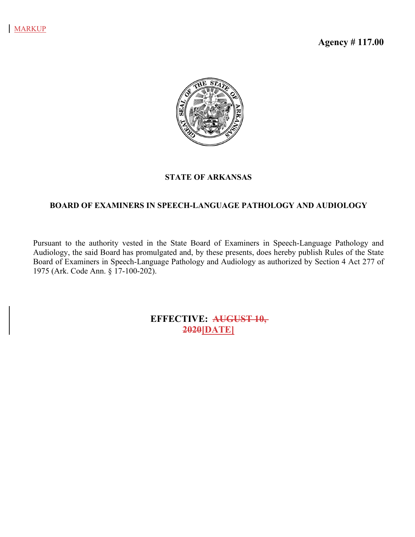

## **STATE OF ARKANSAS**

## **BOARD OF EXAMINERS IN SPEECH-LANGUAGE PATHOLOGY AND AUDIOLOGY**

Pursuant to the authority vested in the State Board of Examiners in Speech-Language Pathology and Audiology, the said Board has promulgated and, by these presents, does hereby publish Rules of the State Board of Examiners in Speech-Language Pathology and Audiology as authorized by Section 4 Act 277 of 1975 (Ark. Code Ann. § 17-100-202).

> **EFFECTIVE: AUGUST 10, 2020[DATE]**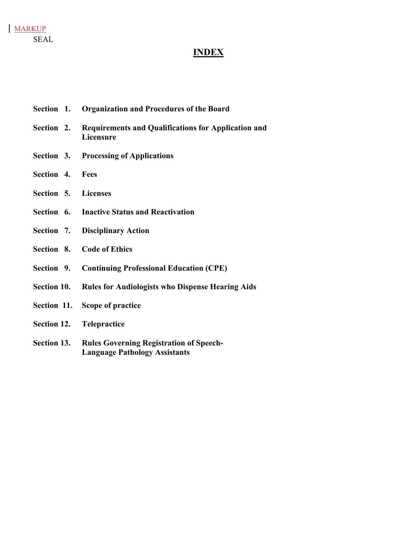# **INDEX**

|             | Section 1. Organization and Procedures of the Board                                    |
|-------------|----------------------------------------------------------------------------------------|
| Section 2.  | <b>Requirements and Qualifications for Application and</b><br>Licensure                |
|             | <b>Section 3. Processing of Applications</b>                                           |
| Section 4.  | Fees                                                                                   |
|             | Section 5. Licenses                                                                    |
|             | Section 6. Inactive Status and Reactivation                                            |
|             | <b>Section 7. Disciplinary Action</b>                                                  |
|             | Section 8. Code of Ethics                                                              |
| Section 9.  | <b>Continuing Professional Education (CPE)</b>                                         |
| Section 10. | <b>Rules for Audiologists who Dispense Hearing Aids</b>                                |
|             | Section 11. Scope of practice                                                          |
|             | <b>Section 12. Telepractice</b>                                                        |
| Section 13. | <b>Rules Governing Registration of Speech-</b><br><b>Language Pathology Assistants</b> |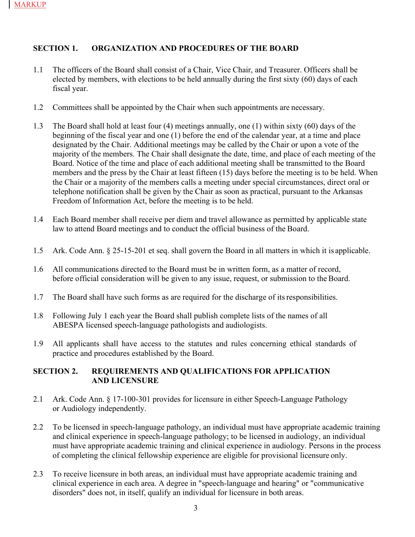## **SECTION 1. ORGANIZATION AND PROCEDURES OF THE BOARD**

- 1.1 The officers of the Board shall consist of a Chair, Vice Chair, and Treasurer. Officers shall be elected by members, with elections to be held annually during the first sixty (60) days of each fiscal year.
- 1.2 Committees shall be appointed by the Chair when such appointments are necessary.
- 1.3 The Board shall hold at least four (4) meetings annually, one (1) within sixty (60) days of the beginning of the fiscal year and one (1) before the end of the calendar year, at a time and place designated by the Chair. Additional meetings may be called by the Chair or upon a vote of the majority of the members. The Chair shall designate the date, time, and place of each meeting of the Board. Notice of the time and place of each additional meeting shall be transmitted to the Board members and the press by the Chair at least fifteen (15) days before the meeting is to be held. When the Chair or a majority of the members calls a meeting under special circumstances, direct oral or telephone notification shall be given by the Chair as soon as practical, pursuant to the Arkansas Freedom of Information Act, before the meeting is to be held.
- 1.4 Each Board member shall receive per diem and travel allowance as permitted by applicable state law to attend Board meetings and to conduct the official business of the Board.
- 1.5 Ark. Code Ann. § 25-15-201 et seq. shall govern the Board in all matters in which it is applicable.
- 1.6 All communications directed to the Board must be in written form, as a matter of record, before official consideration will be given to any issue, request, or submission to the Board.
- 1.7 The Board shall have such forms as are required for the discharge of its responsibilities.
- 1.8 Following July 1 each year the Board shall publish complete lists of the names of all ABESPA licensed speech-language pathologists and audiologists.
- 1.9 All applicants shall have access to the statutes and rules concerning ethical standards of practice and procedures established by the Board.

## **SECTION 2. REQUIREMENTS AND QUALIFICATIONS FOR APPLICATION AND LICENSURE**

- 2.1 Ark. Code Ann. § 17-100-301 provides for licensure in either Speech-Language Pathology or Audiology independently.
- 2.2 To be licensed in speech-language pathology, an individual must have appropriate academic training and clinical experience in speech-language pathology; to be licensed in audiology, an individual must have appropriate academic training and clinical experience in audiology. Persons in the process of completing the clinical fellowship experience are eligible for provisional licensure only.
- 2.3 To receive licensure in both areas, an individual must have appropriate academic training and clinical experience in each area. A degree in "speech-language and hearing" or "communicative disorders" does not, in itself, qualify an individual for licensure in both areas.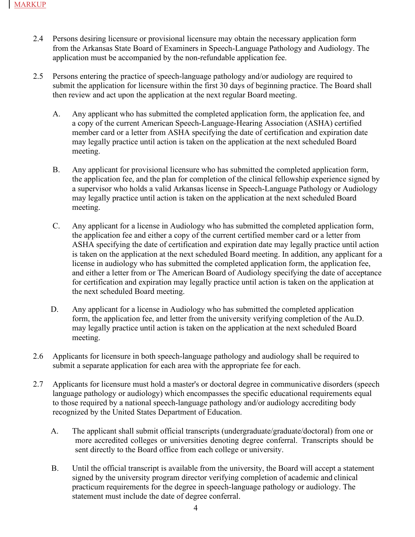- 2.4 Persons desiring licensure or provisional licensure may obtain the necessary application form from the Arkansas State Board of Examiners in Speech-Language Pathology and Audiology. The application must be accompanied by the non-refundable application fee.
- 2.5 Persons entering the practice of speech-language pathology and/or audiology are required to submit the application for licensure within the first 30 days of beginning practice. The Board shall then review and act upon the application at the next regular Board meeting.
	- A. Any applicant who has submitted the completed application form, the application fee, and a copy of the current American Speech-Language-Hearing Association (ASHA) certified member card or a letter from ASHA specifying the date of certification and expiration date may legally practice until action is taken on the application at the next scheduled Board meeting.
	- B. Any applicant for provisional licensure who has submitted the completed application form, the application fee, and the plan for completion of the clinical fellowship experience signed by a supervisor who holds a valid Arkansas license in Speech-Language Pathology or Audiology may legally practice until action is taken on the application at the next scheduled Board meeting.
	- C. Any applicant for a license in Audiology who has submitted the completed application form, the application fee and either a copy of the current certified member card or a letter from ASHA specifying the date of certification and expiration date may legally practice until action is taken on the application at the next scheduled Board meeting. In addition, any applicant for a license in audiology who has submitted the completed application form, the application fee, and either a letter from or The American Board of Audiology specifying the date of acceptance for certification and expiration may legally practice until action is taken on the application at the next scheduled Board meeting.
	- D. Any applicant for a license in Audiology who has submitted the completed application form, the application fee, and letter from the university verifying completion of the Au.D. may legally practice until action is taken on the application at the next scheduled Board meeting.
- 2.6 Applicants for licensure in both speech-language pathology and audiology shall be required to submit a separate application for each area with the appropriate fee for each.
- 2.7 Applicants for licensure must hold a master's or doctoral degree in communicative disorders (speech language pathology or audiology) which encompasses the specific educational requirements equal to those required by a national speech-language pathology and/or audiology accrediting body recognized by the United States Department of Education.
	- A. The applicant shall submit official transcripts (undergraduate/graduate/doctoral) from one or more accredited colleges or universities denoting degree conferral. Transcripts should be sent directly to the Board office from each college or university.
	- B. Until the official transcript is available from the university, the Board will accept a statement signed by the university program director verifying completion of academic and clinical practicum requirements for the degree in speech-language pathology or audiology. The statement must include the date of degree conferral.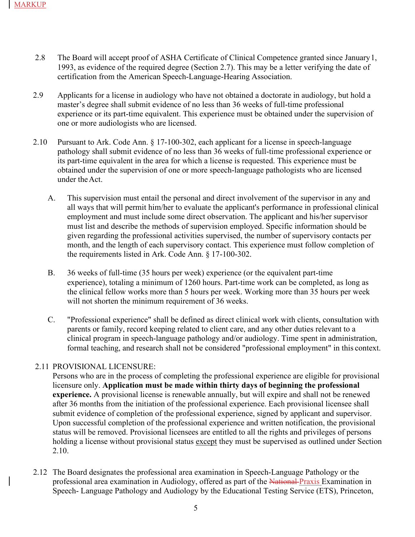- 2.8 The Board will accept proof of ASHA Certificate of Clinical Competence granted since January1, 1993, as evidence of the required degree (Section 2.7). This may be a letter verifying the date of certification from the American Speech-Language-Hearing Association.
- 2.9 Applicants for a license in audiology who have not obtained a doctorate in audiology, but hold a master's degree shall submit evidence of no less than 36 weeks of full-time professional experience or its part-time equivalent. This experience must be obtained under the supervision of one or more audiologists who are licensed.
- 2.10 Pursuant to Ark. Code Ann. § 17-100-302, each applicant for a license in speech-language pathology shall submit evidence of no less than 36 weeks of full-time professional experience or its part-time equivalent in the area for which a license is requested. This experience must be obtained under the supervision of one or more speech-language pathologists who are licensed under the Act.
	- A. This supervision must entail the personal and direct involvement of the supervisor in any and all ways that will permit him/her to evaluate the applicant's performance in professional clinical employment and must include some direct observation. The applicant and his/her supervisor must list and describe the methods of supervision employed. Specific information should be given regarding the professional activities supervised, the number of supervisory contacts per month, and the length of each supervisory contact. This experience must follow completion of the requirements listed in Ark. Code Ann. § 17-100-302.
	- B. 36 weeks of full-time (35 hours per week) experience (or the equivalent part-time experience), totaling a minimum of 1260 hours. Part-time work can be completed, as long as the clinical fellow works more than 5 hours per week. Working more than 35 hours per week will not shorten the minimum requirement of 36 weeks.
	- C. "Professional experience" shall be defined as direct clinical work with clients, consultation with parents or family, record keeping related to client care, and any other duties relevant to a clinical program in speech-language pathology and/or audiology. Time spent in administration, formal teaching, and research shall not be considered "professional employment" in this context.

## 2.11 PROVISIONAL LICENSURE:

Persons who are in the process of completing the professional experience are eligible for provisional licensure only. **Application must be made within thirty days of beginning the professional experience.** A provisional license is renewable annually, but will expire and shall not be renewed after 36 months from the initiation of the professional experience. Each provisional licensee shall submit evidence of completion of the professional experience, signed by applicant and supervisor. Upon successful completion of the professional experience and written notification, the provisional status will be removed. Provisional licensees are entitled to all the rights and privileges of persons holding a license without provisional status except they must be supervised as outlined under Section 2.10.

2.12 The Board designates the professional area examination in Speech-Language Pathology or the professional area examination in Audiology, offered as part of the National Praxis Examination in Speech- Language Pathology and Audiology by the Educational Testing Service (ETS), Princeton,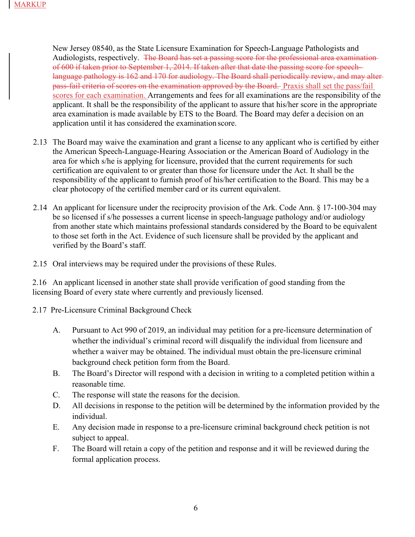New Jersey 08540, as the State Licensure Examination for Speech-Language Pathologists and Audiologists, respectively. The Board has set a passing score for the professional area examinationof 600 if taken prior to September 1, 2014. If taken after that date the passing score for speechlanguage pathology is 162 and 170 for audiology. The Board shall periodically review, and may alterpass-fail criteria of scores on the examination approved by the Board. Praxis shall set the pass/fail scores for each examination. Arrangements and fees for all examinations are the responsibility of the applicant. It shall be the responsibility of the applicant to assure that his/her score in the appropriate area examination is made available by ETS to the Board. The Board may defer a decision on an application until it has considered the examination score.

- 2.13 The Board may waive the examination and grant a license to any applicant who is certified by either the American Speech-Language-Hearing Association or the American Board of Audiology in the area for which s/he is applying for licensure, provided that the current requirements for such certification are equivalent to or greater than those for licensure under the Act. It shall be the responsibility of the applicant to furnish proof of his/her certification to the Board. This may be a clear photocopy of the certified member card or its current equivalent.
- 2.14 An applicant for licensure under the reciprocity provision of the Ark. Code Ann. § 17-100-304 may be so licensed if s/he possesses a current license in speech-language pathology and/or audiology from another state which maintains professional standards considered by the Board to be equivalent to those set forth in the Act. Evidence of such licensure shall be provided by the applicant and verified by the Board's staff.
- 2.15 Oral interviews may be required under the provisions of these Rules.

2.16 An applicant licensed in another state shall provide verification of good standing from the licensing Board of every state where currently and previously licensed.

- 2.17 Pre-Licensure Criminal Background Check
	- A. Pursuant to Act 990 of 2019, an individual may petition for a pre-licensure determination of whether the individual's criminal record will disqualify the individual from licensure and whether a waiver may be obtained. The individual must obtain the pre-licensure criminal background check petition form from the Board.
	- B. The Board's Director will respond with a decision in writing to a completed petition within a reasonable time.
	- C. The response will state the reasons for the decision.
	- D. All decisions in response to the petition will be determined by the information provided by the individual.
	- E. Any decision made in response to a pre-licensure criminal background check petition is not subject to appeal.
	- F. The Board will retain a copy of the petition and response and it will be reviewed during the formal application process.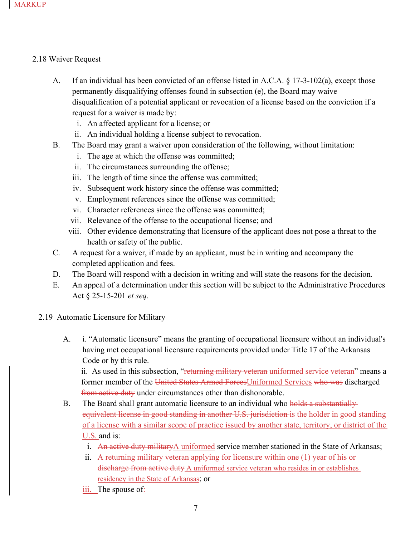#### 2.18 Waiver Request

- A. If an individual has been convicted of an offense listed in A.C.A. § 17-3-102(a), except those permanently disqualifying offenses found in subsection (e), the Board may waive disqualification of a potential applicant or revocation of a license based on the conviction if a request for a waiver is made by:
	- i. An affected applicant for a license; or
	- ii. An individual holding a license subject to revocation.
- B. The Board may grant a waiver upon consideration of the following, without limitation:
	- i. The age at which the offense was committed;
	- ii. The circumstances surrounding the offense;
	- iii. The length of time since the offense was committed;
	- iv. Subsequent work history since the offense was committed;
	- v. Employment references since the offense was committed;
	- vi. Character references since the offense was committed;
	- vii. Relevance of the offense to the occupational license; and
	- viii. Other evidence demonstrating that licensure of the applicant does not pose a threat to the health or safety of the public.
- C. A request for a waiver, if made by an applicant, must be in writing and accompany the completed application and fees.
- D. The Board will respond with a decision in writing and will state the reasons for the decision.
- E. An appeal of a determination under this section will be subject to the Administrative Procedures Act § 25-15-201 *et seq.*
- 2.19 Automatic Licensure for Military
	- A. i. "Automatic licensure" means the granting of occupational licensure without an individual's having met occupational licensure requirements provided under Title 17 of the Arkansas Code or by this rule.

ii. As used in this subsection, "returning military veteran uniformed service veteran" means a former member of the United States Armed ForcesUniformed Services who was discharged from active duty under circumstances other than dishonorable.

- B. The Board shall grant automatic licensure to an individual who holds a substantially equivalent license in good standing in another U.S. jurisdiction is the holder in good standing of a license with a similar scope of practice issued by another state, territory, or district of the U.S. and is:
	- i. An active duty military A uniformed service member stationed in the State of Arkansas;
	- ii. A returning military veteran applying for licensure within one (1) year of his or discharge from active duty A uniformed service veteran who resides in or establishes residency in the State of Arkansas; or
	- iii. The spouse of: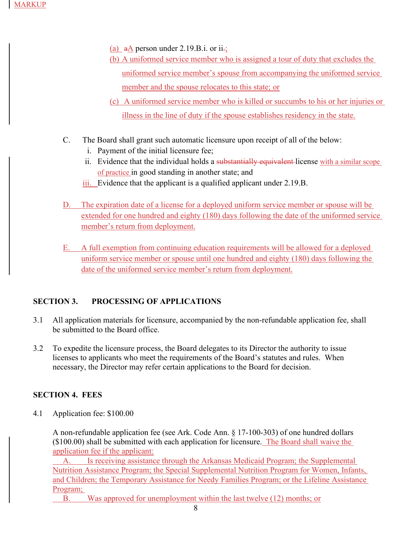#### MARKUP

- (a)  $\theta$ A person under 2.19.B.i. or ii.;
- (b) A uniformed service member who is assigned a tour of duty that excludes the uniformed service member's spouse from accompanying the uniformed service member and the spouse relocates to this state; or
- (c) A uniformed service member who is killed or succumbs to his or her injuries or illness in the line of duty if the spouse establishes residency in the state.
- C. The Board shall grant such automatic licensure upon receipt of all of the below:
	- i. Payment of the initial licensure fee;
	- ii. Evidence that the individual holds a substantially equivalent-license with a similar scope of practice in good standing in another state; and
	- iii. Evidence that the applicant is a qualified applicant under 2.19.B.
- D. The expiration date of a license for a deployed uniform service member or spouse will be extended for one hundred and eighty (180) days following the date of the uniformed service member's return from deployment.
- E. A full exemption from continuing education requirements will be allowed for a deployed uniform service member or spouse until one hundred and eighty (180) days following the date of the uniformed service member's return from deployment.

## **SECTION 3. PROCESSING OF APPLICATIONS**

- 3.1 All application materials for licensure, accompanied by the non-refundable application fee, shall be submitted to the Board office.
- 3.2 To expedite the licensure process, the Board delegates to its Director the authority to issue licenses to applicants who meet the requirements of the Board's statutes and rules. When necessary, the Director may refer certain applications to the Board for decision.

## **SECTION 4. FEES**

4.1 Application fee: \$100.00

A non-refundable application fee (see Ark. Code Ann. § 17-100-303) of one hundred dollars (\$100.00) shall be submitted with each application for licensure. The Board shall waive the application fee if the applicant:

A. Is receiving assistance through the Arkansas Medicaid Program; the Supplemental Nutrition Assistance Program; the Special Supplemental Nutrition Program for Women, Infants, and Children; the Temporary Assistance for Needy Families Program; or the Lifeline Assistance Program;

B. Was approved for unemployment within the last twelve (12) months; or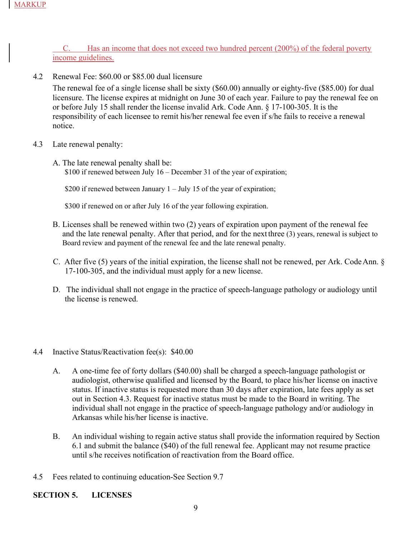C. Has an income that does not exceed two hundred percent (200%) of the federal poverty income guidelines.

4.2 Renewal Fee: \$60.00 or \$85.00 dual licensure

The renewal fee of a single license shall be sixty (\$60.00) annually or eighty-five (\$85.00) for dual licensure. The license expires at midnight on June 30 of each year. Failure to pay the renewal fee on or before July 15 shall render the license invalid Ark. Code Ann. § 17-100-305. It is the responsibility of each licensee to remit his/her renewal fee even if s/he fails to receive a renewal notice.

- 4.3 Late renewal penalty:
	- A. The late renewal penalty shall be: \$100 if renewed between July 16 – December 31 of the year of expiration;

\$200 if renewed between January 1 – July 15 of the year of expiration;

\$300 if renewed on or after July 16 of the year following expiration.

- B. Licenses shall be renewed within two (2) years of expiration upon payment of the renewal fee and the late renewal penalty. After that period, and for the next three (3) years, renewal is subject to Board review and payment of the renewal fee and the late renewal penalty.
- C. After five (5) years of the initial expiration, the license shall not be renewed, per Ark. CodeAnn. § 17-100-305, and the individual must apply for a new license.
- D. The individual shall not engage in the practice of speech-language pathology or audiology until the license is renewed.
- 4.4 Inactive Status/Reactivation fee(s): \$40.00
	- A. A one-time fee of forty dollars (\$40.00) shall be charged a speech-language pathologist or audiologist, otherwise qualified and licensed by the Board, to place his/her license on inactive status. If inactive status is requested more than 30 days after expiration, late fees apply as set out in Section 4.3. Request for inactive status must be made to the Board in writing. The individual shall not engage in the practice of speech-language pathology and/or audiology in Arkansas while his/her license is inactive.
	- B. An individual wishing to regain active status shall provide the information required by Section 6.1 and submit the balance (\$40) of the full renewal fee. Applicant may not resume practice until s/he receives notification of reactivation from the Board office.
- 4.5 Fees related to continuing education-See Section 9.7

#### **SECTION 5. LICENSES**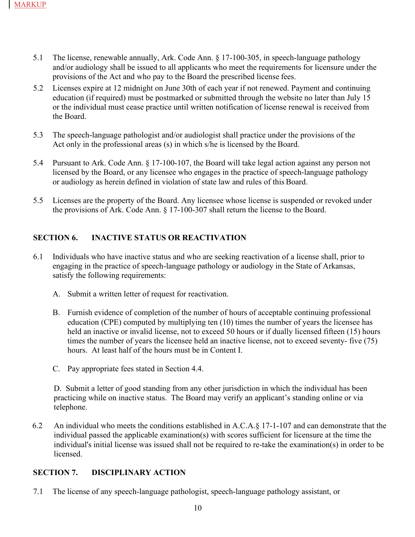- 5.1 The license, renewable annually, Ark. Code Ann. § 17-100-305, in speech-language pathology and/or audiology shall be issued to all applicants who meet the requirements for licensure under the provisions of the Act and who pay to the Board the prescribed license fees.
- 5.2 Licenses expire at 12 midnight on June 30th of each year if not renewed. Payment and continuing education (if required) must be postmarked or submitted through the website no later than July 15 or the individual must cease practice until written notification of license renewal is received from the Board.
- 5.3 The speech-language pathologist and/or audiologist shall practice under the provisions of the Act only in the professional areas (s) in which s/he is licensed by the Board.
- 5.4 Pursuant to Ark. Code Ann. § 17-100-107, the Board will take legal action against any person not licensed by the Board, or any licensee who engages in the practice of speech-language pathology or audiology as herein defined in violation of state law and rules of this Board.
- 5.5 Licenses are the property of the Board. Any licensee whose license is suspended or revoked under the provisions of Ark. Code Ann. § 17-100-307 shall return the license to the Board.

## **SECTION 6. INACTIVE STATUS OR REACTIVATION**

- 6.1 Individuals who have inactive status and who are seeking reactivation of a license shall, prior to engaging in the practice of speech-language pathology or audiology in the State of Arkansas, satisfy the following requirements:
	- A. Submit a written letter of request for reactivation.
	- B. Furnish evidence of completion of the number of hours of acceptable continuing professional education (CPE) computed by multiplying ten (10) times the number of years the licensee has held an inactive or invalid license, not to exceed 50 hours or if dually licensed fifteen (15) hours times the number of years the licensee held an inactive license, not to exceed seventy- five (75) hours. At least half of the hours must be in Content I.
	- C. Pay appropriate fees stated in Section 4.4.

D. Submit a letter of good standing from any other jurisdiction in which the individual has been practicing while on inactive status. The Board may verify an applicant's standing online or via telephone.

6.2 An individual who meets the conditions established in A.C.A.§ 17-1-107 and can demonstrate that the individual passed the applicable examination(s) with scores sufficient for licensure at the time the individual's initial license was issued shall not be required to re-take the examination(s) in order to be licensed.

## **SECTION 7. DISCIPLINARY ACTION**

7.1 The license of any speech-language pathologist, speech-language pathology assistant, or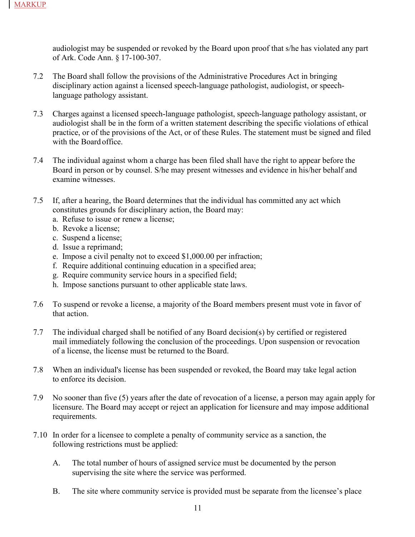audiologist may be suspended or revoked by the Board upon proof that s/he has violated any part of Ark. Code Ann. § 17-100-307.

- 7.2 The Board shall follow the provisions of the Administrative Procedures Act in bringing disciplinary action against a licensed speech-language pathologist, audiologist, or speechlanguage pathology assistant.
- 7.3 Charges against a licensed speech-language pathologist, speech-language pathology assistant, or audiologist shall be in the form of a written statement describing the specific violations of ethical practice, or of the provisions of the Act, or of these Rules. The statement must be signed and filed with the Board office.
- 7.4 The individual against whom a charge has been filed shall have the right to appear before the Board in person or by counsel. S/he may present witnesses and evidence in his/her behalf and examine witnesses.
- 7.5 If, after a hearing, the Board determines that the individual has committed any act which constitutes grounds for disciplinary action, the Board may:
	- a. Refuse to issue or renew a license;
	- b. Revoke a license;
	- c. Suspend a license;
	- d. Issue a reprimand;
	- e. Impose a civil penalty not to exceed \$1,000.00 per infraction;
	- f. Require additional continuing education in a specified area;
	- g. Require community service hours in a specified field;
	- h. Impose sanctions pursuant to other applicable state laws.
- 7.6 To suspend or revoke a license, a majority of the Board members present must vote in favor of that action.
- 7.7 The individual charged shall be notified of any Board decision(s) by certified or registered mail immediately following the conclusion of the proceedings. Upon suspension or revocation of a license, the license must be returned to the Board.
- 7.8 When an individual's license has been suspended or revoked, the Board may take legal action to enforce its decision.
- 7.9 No sooner than five (5) years after the date of revocation of a license, a person may again apply for licensure. The Board may accept or reject an application for licensure and may impose additional requirements.
- 7.10 In order for a licensee to complete a penalty of community service as a sanction, the following restrictions must be applied:
	- A. The total number of hours of assigned service must be documented by the person supervising the site where the service was performed.
	- B. The site where community service is provided must be separate from the licensee's place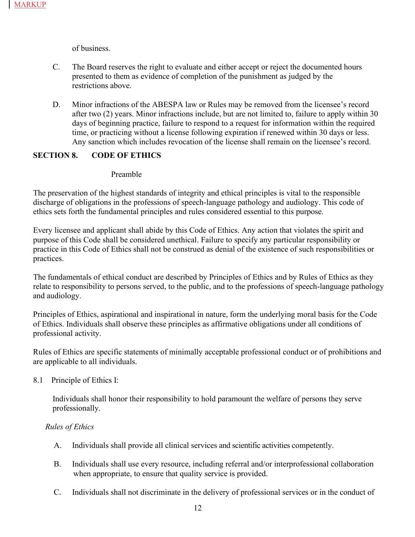of business.

- C. The Board reserves the right to evaluate and either accept or reject the documented hours presented to them as evidence of completion of the punishment as judged by the restrictions above.
- D. Minor infractions of the ABESPA law or Rules may be removed from the licensee's record after two (2) years. Minor infractions include, but are not limited to, failure to apply within 30 days of beginning practice, failure to respond to a request for information within the required time, or practicing without a license following expiration if renewed within 30 days or less. Any sanction which includes revocation of the license shall remain on the licensee's record.

#### **SECTION 8. CODE OF ETHICS**

#### Preamble

The preservation of the highest standards of integrity and ethical principles is vital to the responsible discharge of obligations in the professions of speech-language pathology and audiology. This code of ethics sets forth the fundamental principles and rules considered essential to this purpose.

Every licensee and applicant shall abide by this Code of Ethics. Any action that violates the spirit and purpose of this Code shall be considered unethical. Failure to specify any particular responsibility or practice in this Code of Ethics shall not be construed as denial of the existence of such responsibilities or practices.

The fundamentals of ethical conduct are described by Principles of Ethics and by Rules of Ethics as they relate to responsibility to persons served, to the public, and to the professions of speech-language pathology and audiology.

Principles of Ethics, aspirational and inspirational in nature, form the underlying moral basis for the Code of Ethics. Individuals shall observe these principles as affirmative obligations under all conditions of professional activity.

Rules of Ethics are specific statements of minimally acceptable professional conduct or of prohibitions and are applicable to all individuals.

8.1 Principle of Ethics I:

Individuals shall honor their responsibility to hold paramount the welfare of persons they serve professionally.

- A. Individuals shall provide all clinical services and scientific activities competently.
- B. Individuals shall use every resource, including referral and/or interprofessional collaboration when appropriate, to ensure that quality service is provided.
- C. Individuals shall not discriminate in the delivery of professional services or in the conduct of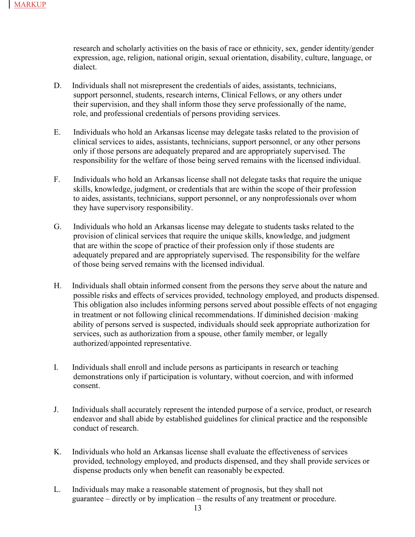research and scholarly activities on the basis of race or ethnicity, sex, gender identity/gender expression, age, religion, national origin, sexual orientation, disability, culture, language, or dialect.

- D. Individuals shall not misrepresent the credentials of aides, assistants, technicians, support personnel, students, research interns, Clinical Fellows, or any others under their supervision, and they shall inform those they serve professionally of the name, role, and professional credentials of persons providing services.
- E. Individuals who hold an Arkansas license may delegate tasks related to the provision of clinical services to aides, assistants, technicians, support personnel, or any other persons only if those persons are adequately prepared and are appropriately supervised. The responsibility for the welfare of those being served remains with the licensed individual.
- F. Individuals who hold an Arkansas license shall not delegate tasks that require the unique skills, knowledge, judgment, or credentials that are within the scope of their profession to aides, assistants, technicians, support personnel, or any nonprofessionals over whom they have supervisory responsibility.
- G. Individuals who hold an Arkansas license may delegate to students tasks related to the provision of clinical services that require the unique skills, knowledge, and judgment that are within the scope of practice of their profession only if those students are adequately prepared and are appropriately supervised. The responsibility for the welfare of those being served remains with the licensed individual.
- H. Individuals shall obtain informed consent from the persons they serve about the nature and possible risks and effects of services provided, technology employed, and products dispensed. This obligation also includes informing persons served about possible effects of not engaging in treatment or not following clinical recommendations. If diminished decision-making ability of persons served is suspected, individuals should seek appropriate authorization for services, such as authorization from a spouse, other family member, or legally authorized/appointed representative.
- I. Individuals shall enroll and include persons as participants in research or teaching demonstrations only if participation is voluntary, without coercion, and with informed consent.
- J. Individuals shall accurately represent the intended purpose of a service, product, or research endeavor and shall abide by established guidelines for clinical practice and the responsible conduct of research.
- K. Individuals who hold an Arkansas license shall evaluate the effectiveness of services provided, technology employed, and products dispensed, and they shall provide services or dispense products only when benefit can reasonably be expected.
- L. Individuals may make a reasonable statement of prognosis, but they shall not guarantee – directly or by implication – the results of any treatment or procedure.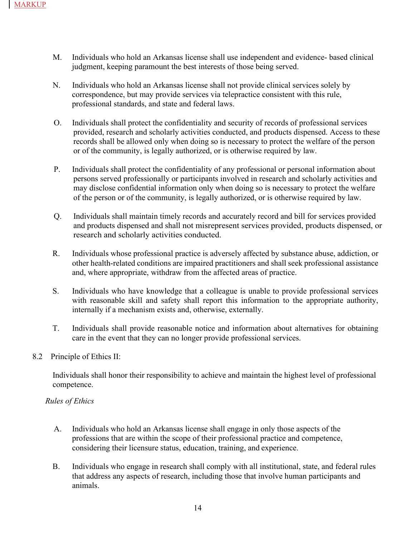- M. Individuals who hold an Arkansas license shall use independent and evidence- based clinical judgment, keeping paramount the best interests of those being served.
- N. Individuals who hold an Arkansas license shall not provide clinical services solely by correspondence, but may provide services via telepractice consistent with this rule, professional standards, and state and federal laws.
- O. Individuals shall protect the confidentiality and security of records of professional services provided, research and scholarly activities conducted, and products dispensed. Access to these records shall be allowed only when doing so is necessary to protect the welfare of the person or of the community, is legally authorized, or is otherwise required by law.
- P. Individuals shall protect the confidentiality of any professional or personal information about persons served professionally or participants involved in research and scholarly activities and may disclose confidential information only when doing so is necessary to protect the welfare of the person or of the community, is legally authorized, or is otherwise required by law.
- Q. Individuals shall maintain timely records and accurately record and bill for services provided and products dispensed and shall not misrepresent services provided, products dispensed, or research and scholarly activities conducted.
- R. Individuals whose professional practice is adversely affected by substance abuse, addiction, or other health-related conditions are impaired practitioners and shall seek professional assistance and, where appropriate, withdraw from the affected areas of practice.
- S. Individuals who have knowledge that a colleague is unable to provide professional services with reasonable skill and safety shall report this information to the appropriate authority, internally if a mechanism exists and, otherwise, externally.
- T. Individuals shall provide reasonable notice and information about alternatives for obtaining care in the event that they can no longer provide professional services.
- 8.2 Principle of Ethics II:

Individuals shall honor their responsibility to achieve and maintain the highest level of professional competence.

- A. Individuals who hold an Arkansas license shall engage in only those aspects of the professions that are within the scope of their professional practice and competence, considering their licensure status, education, training, and experience.
- B. Individuals who engage in research shall comply with all institutional, state, and federal rules that address any aspects of research, including those that involve human participants and animals.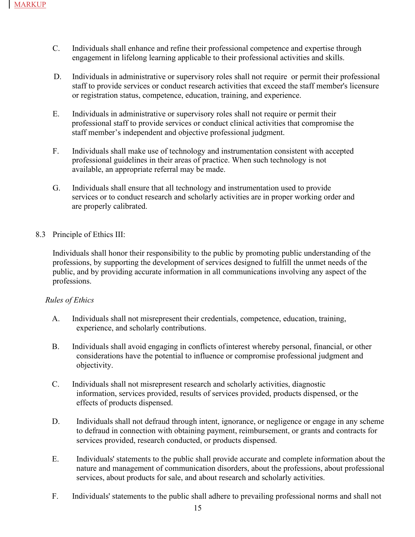- C. Individuals shall enhance and refine their professional competence and expertise through engagement in lifelong learning applicable to their professional activities and skills.
- D. Individuals in administrative or supervisory roles shall not require or permit their professional staff to provide services or conduct research activities that exceed the staff member's licensure or registration status, competence, education, training, and experience.
- E. Individuals in administrative or supervisory roles shall not require or permit their professional staff to provide services or conduct clinical activities that compromise the staff member's independent and objective professional judgment.
- F. Individuals shall make use of technology and instrumentation consistent with accepted professional guidelines in their areas of practice. When such technology is not available, an appropriate referral may be made.
- G. Individuals shall ensure that all technology and instrumentation used to provide services or to conduct research and scholarly activities are in proper working order and are properly calibrated.
- 8.3 Principle of Ethics III:

Individuals shall honor their responsibility to the public by promoting public understanding of the professions, by supporting the development of services designed to fulfill the unmet needs of the public, and by providing accurate information in all communications involving any aspect of the professions.

- A. Individuals shall not misrepresent their credentials, competence, education, training, experience, and scholarly contributions.
- B. Individuals shall avoid engaging in conflicts ofinterest whereby personal, financial, or other considerations have the potential to influence or compromise professional judgment and objectivity.
- C. Individuals shall not misrepresent research and scholarly activities, diagnostic information, services provided, results of services provided, products dispensed, or the effects of products dispensed.
- D. Individuals shall not defraud through intent, ignorance, or negligence or engage in any scheme to defraud in connection with obtaining payment, reimbursement, or grants and contracts for services provided, research conducted, or products dispensed.
- E. Individuals' statements to the public shall provide accurate and complete information about the nature and management of communication disorders, about the professions, about professional services, about products for sale, and about research and scholarly activities.
- F. Individuals' statements to the public shall adhere to prevailing professional norms and shall not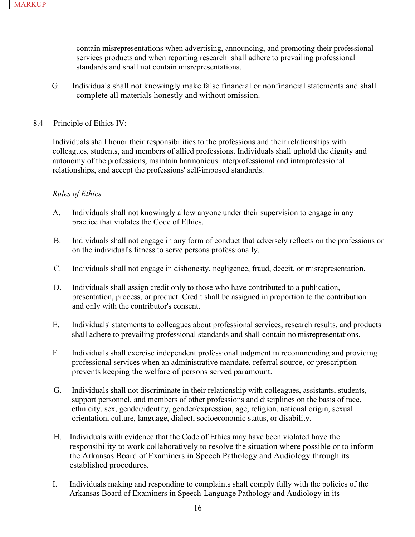contain misrepresentations when advertising, announcing, and promoting their professional services products and when reporting research shall adhere to prevailing professional standards and shall not contain misrepresentations.

G. Individuals shall not knowingly make false financial or nonfinancial statements and shall complete all materials honestly and without omission.

#### 8.4 Principle of Ethics IV:

Individuals shall honor their responsibilities to the professions and their relationships with colleagues, students, and members of allied professions. Individuals shall uphold the dignity and autonomy of the professions, maintain harmonious interprofessional and intraprofessional relationships, and accept the professions' self-imposed standards.

- A. Individuals shall not knowingly allow anyone under their supervision to engage in any practice that violates the Code of Ethics.
- B. Individuals shall not engage in any form of conduct that adversely reflects on the professions or on the individual's fitness to serve persons professionally.
- C. Individuals shall not engage in dishonesty, negligence, fraud, deceit, or misrepresentation.
- D. Individuals shall assign credit only to those who have contributed to a publication, presentation, process, or product. Credit shall be assigned in proportion to the contribution and only with the contributor's consent.
- E. Individuals' statements to colleagues about professional services, research results, and products shall adhere to prevailing professional standards and shall contain no misrepresentations.
- F. Individuals shall exercise independent professional judgment in recommending and providing professional services when an administrative mandate, referral source, or prescription prevents keeping the welfare of persons served paramount.
- G. Individuals shall not discriminate in their relationship with colleagues, assistants, students, support personnel, and members of other professions and disciplines on the basis of race, ethnicity, sex, gender/identity, gender/expression, age, religion, national origin, sexual orientation, culture, language, dialect, socioeconomic status, or disability.
- H. Individuals with evidence that the Code of Ethics may have been violated have the responsibility to work collaboratively to resolve the situation where possible or to inform the Arkansas Board of Examiners in Speech Pathology and Audiology through its established procedures.
- I. Individuals making and responding to complaints shall comply fully with the policies of the Arkansas Board of Examiners in Speech-Language Pathology and Audiology in its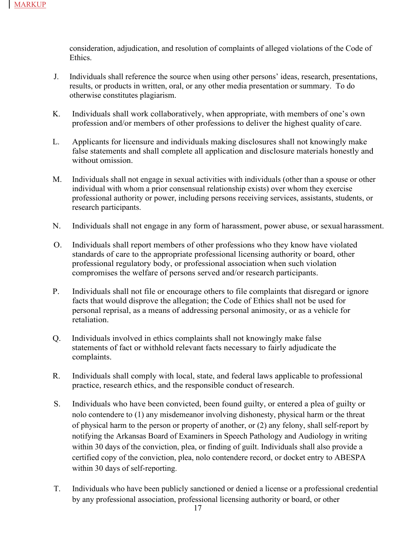consideration, adjudication, and resolution of complaints of alleged violations of the Code of Ethics.

- J. Individuals shall reference the source when using other persons' ideas, research, presentations, results, or products in written, oral, or any other media presentation or summary. To do otherwise constitutes plagiarism.
- K. Individuals shall work collaboratively, when appropriate, with members of one's own profession and/or members of other professions to deliver the highest quality of care.
- L. Applicants for licensure and individuals making disclosures shall not knowingly make false statements and shall complete all application and disclosure materials honestly and without omission.
- M. Individuals shall not engage in sexual activities with individuals (other than a spouse or other individual with whom a prior consensual relationship exists) over whom they exercise professional authority or power, including persons receiving services, assistants, students, or research participants.
- N. Individuals shall not engage in any form of harassment, power abuse, or sexual harassment.
- O. Individuals shall report members of other professions who they know have violated standards of care to the appropriate professional licensing authority or board, other professional regulatory body, or professional association when such violation compromises the welfare of persons served and/or research participants.
- P. Individuals shall not file or encourage others to file complaints that disregard or ignore facts that would disprove the allegation; the Code of Ethics shall not be used for personal reprisal, as a means of addressing personal animosity, or as a vehicle for retaliation.
- Q. Individuals involved in ethics complaints shall not knowingly make false statements of fact or withhold relevant facts necessary to fairly adjudicate the complaints.
- R. Individuals shall comply with local, state, and federal laws applicable to professional practice, research ethics, and the responsible conduct of research.
- S. Individuals who have been convicted, been found guilty, or entered a plea of guilty or nolo contendere to (1) any misdemeanor involving dishonesty, physical harm or the threat of physical harm to the person or property of another, or (2) any felony, shall self-report by notifying the Arkansas Board of Examiners in Speech Pathology and Audiology in writing within 30 days of the conviction, plea, or finding of guilt. Individuals shall also provide a certified copy of the conviction, plea, nolo contendere record, or docket entry to ABESPA within 30 days of self-reporting.
- T. Individuals who have been publicly sanctioned or denied a license or a professional credential by any professional association, professional licensing authority or board, or other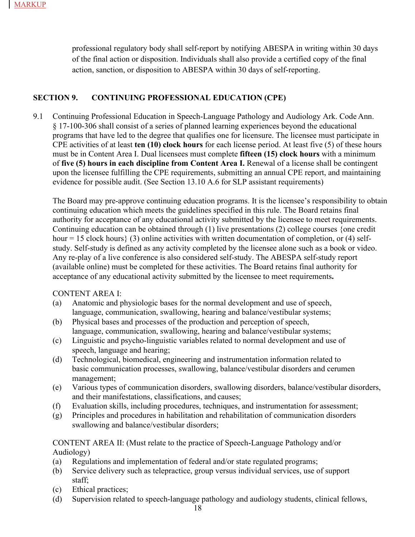professional regulatory body shall self-report by notifying ABESPA in writing within 30 days of the final action or disposition. Individuals shall also provide a certified copy of the final action, sanction, or disposition to ABESPA within 30 days of self-reporting.

## **SECTION 9. CONTINUING PROFESSIONAL EDUCATION (CPE)**

9.1 Continuing Professional Education in Speech-Language Pathology and Audiology Ark. Code Ann. § 17-100-306 shall consist of a series of planned learning experiences beyond the educational programs that have led to the degree that qualifies one for licensure. The licensee must participate in CPE activities of at least **ten (10) clock hours** for each license period. At least five (5) of these hours must be in Content Area I. Dual licensees must complete **fifteen (15) clock hours** with a minimum of **five (5) hours in each discipline from Content Area I.** Renewal of a license shall be contingent upon the licensee fulfilling the CPE requirements, submitting an annual CPE report, and maintaining evidence for possible audit. (See Section 13.10 A.6 for SLP assistant requirements)

The Board may pre-approve continuing education programs. It is the licensee's responsibility to obtain continuing education which meets the guidelines specified in this rule. The Board retains final authority for acceptance of any educational activity submitted by the licensee to meet requirements. Continuing education can be obtained through (1) live presentations (2) college courses {one credit hour = 15 clock hours} (3) online activities with written documentation of completion, or (4) selfstudy. Self-study is defined as any activity completed by the licensee alone such as a book or video. Any re-play of a live conference is also considered self-study. The ABESPA self-study report (available online) must be completed for these activities. The Board retains final authority for acceptance of any educational activity submitted by the licensee to meet requirements**.**

CONTENT AREA I:

- (a) Anatomic and physiologic bases for the normal development and use of speech, language, communication, swallowing, hearing and balance/vestibular systems;
- (b) Physical bases and processes of the production and perception of speech, language, communication, swallowing, hearing and balance/vestibular systems;
- (c) Linguistic and psycho-linguistic variables related to normal development and use of speech, language and hearing;
- (d) Technological, biomedical, engineering and instrumentation information related to basic communication processes, swallowing, balance/vestibular disorders and cerumen management;
- (e) Various types of communication disorders, swallowing disorders, balance/vestibular disorders, and their manifestations, classifications, and causes;
- (f) Evaluation skills, including procedures, techniques, and instrumentation for assessment;
- (g) Principles and procedures in habilitation and rehabilitation of communication disorders swallowing and balance/vestibular disorders;

CONTENT AREA II: (Must relate to the practice of Speech-Language Pathology and/or Audiology)

- (a) Regulations and implementation of federal and/or state regulated programs;
- (b) Service delivery such as telepractice, group versus individual services, use of support staff;
- (c) Ethical practices;
- (d) Supervision related to speech-language pathology and audiology students, clinical fellows,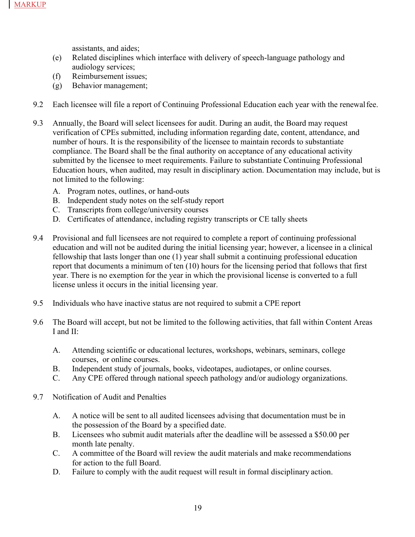assistants, and aides;

- (e) Related disciplines which interface with delivery of speech-language pathology and audiology services;
- (f) Reimbursement issues;
- (g) Behavior management;
- 9.2 Each licensee will file a report of Continuing Professional Education each year with the renewalfee.
- 9.3 Annually, the Board will select licensees for audit. During an audit, the Board may request verification of CPEs submitted, including information regarding date, content, attendance, and number of hours. It is the responsibility of the licensee to maintain records to substantiate compliance. The Board shall be the final authority on acceptance of any educational activity submitted by the licensee to meet requirements. Failure to substantiate Continuing Professional Education hours, when audited, may result in disciplinary action. Documentation may include, but is not limited to the following:
	- A. Program notes, outlines, or hand-outs
	- B. Independent study notes on the self-study report
	- C. Transcripts from college/university courses
	- D. Certificates of attendance, including registry transcripts or CE tally sheets
- 9.4 Provisional and full licensees are not required to complete a report of continuing professional education and will not be audited during the initial licensing year; however, a licensee in a clinical fellowship that lasts longer than one (1) year shall submit a continuing professional education report that documents a minimum of ten (10) hours for the licensing period that follows that first year. There is no exemption for the year in which the provisional license is converted to a full license unless it occurs in the initial licensing year.
- 9.5 Individuals who have inactive status are not required to submit a CPE report
- 9.6 The Board will accept, but not be limited to the following activities, that fall within Content Areas I and II:
	- A. Attending scientific or educational lectures, workshops, webinars, seminars, college courses, or online courses.
	- B. Independent study of journals, books, videotapes, audiotapes, or online courses.
	- C. Any CPE offered through national speech pathology and/or audiology organizations.
- 9.7 Notification of Audit and Penalties
	- A. A notice will be sent to all audited licensees advising that documentation must be in the possession of the Board by a specified date.
	- B. Licensees who submit audit materials after the deadline will be assessed a \$50.00 per month late penalty.
	- C. A committee of the Board will review the audit materials and make recommendations for action to the full Board.
	- D. Failure to comply with the audit request will result in formal disciplinary action.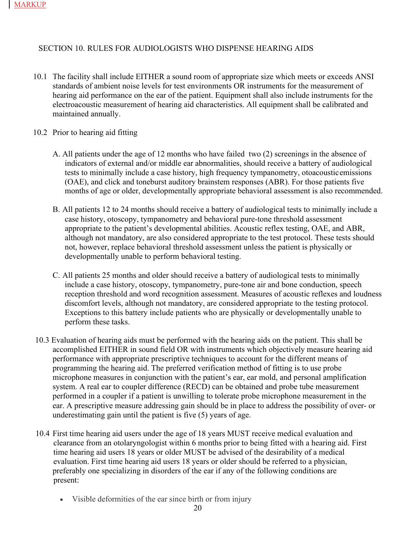## SECTION 10. RULES FOR AUDIOLOGISTS WHO DISPENSE HEARING AIDS

- 10.1 The facility shall include EITHER a sound room of appropriate size which meets or exceeds ANSI standards of ambient noise levels for test environments OR instruments for the measurement of hearing aid performance on the ear of the patient. Equipment shall also include instruments for the electroacoustic measurement of hearing aid characteristics. All equipment shall be calibrated and maintained annually.
- 10.2 Prior to hearing aid fitting
	- A. All patients under the age of 12 months who have failed two (2) screenings in the absence of indicators of external and/or middle ear abnormalities, should receive a battery of audiological tests to minimally include a case history, high frequency tympanometry, otoacousticemissions (OAE), and click and toneburst auditory brainstem responses (ABR). For those patients five months of age or older, developmentally appropriate behavioral assessment is also recommended.
	- B. All patients 12 to 24 months should receive a battery of audiological tests to minimally include a case history, otoscopy, tympanometry and behavioral pure-tone threshold assessment appropriate to the patient's developmental abilities. Acoustic reflex testing, OAE, and ABR, although not mandatory, are also considered appropriate to the test protocol. These tests should not, however, replace behavioral threshold assessment unless the patient is physically or developmentally unable to perform behavioral testing.
	- C. All patients 25 months and older should receive a battery of audiological tests to minimally include a case history, otoscopy, tympanometry, pure-tone air and bone conduction, speech reception threshold and word recognition assessment. Measures of acoustic reflexes and loudness discomfort levels, although not mandatory, are considered appropriate to the testing protocol. Exceptions to this battery include patients who are physically or developmentally unable to perform these tasks.
- 10.3 Evaluation of hearing aids must be performed with the hearing aids on the patient. This shall be accomplished EITHER in sound field OR with instruments which objectively measure hearing aid performance with appropriate prescriptive techniques to account for the different means of programming the hearing aid. The preferred verification method of fitting is to use probe microphone measures in conjunction with the patient's ear, ear mold, and personal amplification system. A real ear to coupler difference (RECD) can be obtained and probe tube measurement performed in a coupler if a patient is unwilling to tolerate probe microphone measurement in the ear. A prescriptive measure addressing gain should be in place to address the possibility of over- or underestimating gain until the patient is five (5) years of age.
- 10.4 First time hearing aid users under the age of 18 years MUST receive medical evaluation and clearance from an otolaryngologist within 6 months prior to being fitted with a hearing aid. First time hearing aid users 18 years or older MUST be advised of the desirability of a medical evaluation. First time hearing aid users 18 years or older should be referred to a physician, preferably one specializing in disorders of the ear if any of the following conditions are present:
	- Visible deformities of the ear since birth or from injury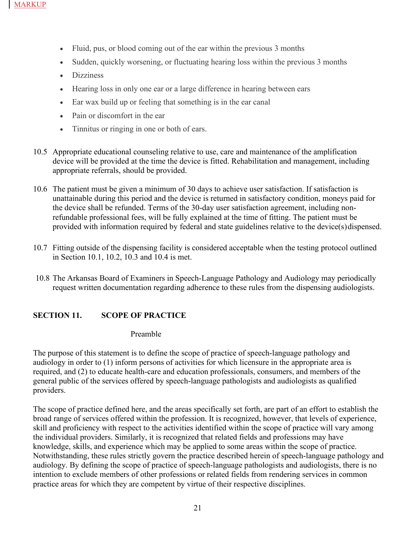- Fluid, pus, or blood coming out of the ear within the previous 3 months
- Sudden, quickly worsening, or fluctuating hearing loss within the previous 3 months
- Dizziness
- Hearing loss in only one ear or a large difference in hearing between ears
- Ear wax build up or feeling that something is in the ear canal
- Pain or discomfort in the ear
- Tinnitus or ringing in one or both of ears.
- 10.5 Appropriate educational counseling relative to use, care and maintenance of the amplification device will be provided at the time the device is fitted. Rehabilitation and management, including appropriate referrals, should be provided.
- 10.6 The patient must be given a minimum of 30 days to achieve user satisfaction. If satisfaction is unattainable during this period and the device is returned in satisfactory condition, moneys paid for the device shall be refunded. Terms of the 30-day user satisfaction agreement, including nonrefundable professional fees, will be fully explained at the time of fitting. The patient must be provided with information required by federal and state guidelines relative to the device(s)dispensed.
- 10.7 Fitting outside of the dispensing facility is considered acceptable when the testing protocol outlined in Section 10.1, 10.2, 10.3 and 10.4 is met.
- 10.8 The Arkansas Board of Examiners in Speech-Language Pathology and Audiology may periodically request written documentation regarding adherence to these rules from the dispensing audiologists.

## **SECTION 11. SCOPE OF PRACTICE**

#### Preamble

The purpose of this statement is to define the scope of practice of speech-language pathology and audiology in order to (1) inform persons of activities for which licensure in the appropriate area is required, and (2) to educate health-care and education professionals, consumers, and members of the general public of the services offered by speech-language pathologists and audiologists as qualified providers.

The scope of practice defined here, and the areas specifically set forth, are part of an effort to establish the broad range of services offered within the profession. It is recognized, however, that levels of experience, skill and proficiency with respect to the activities identified within the scope of practice will vary among the individual providers. Similarly, it is recognized that related fields and professions may have knowledge, skills, and experience which may be applied to some areas within the scope of practice. Notwithstanding, these rules strictly govern the practice described herein of speech-language pathology and audiology. By defining the scope of practice of speech-language pathologists and audiologists, there is no intention to exclude members of other professions or related fields from rendering services in common practice areas for which they are competent by virtue of their respective disciplines.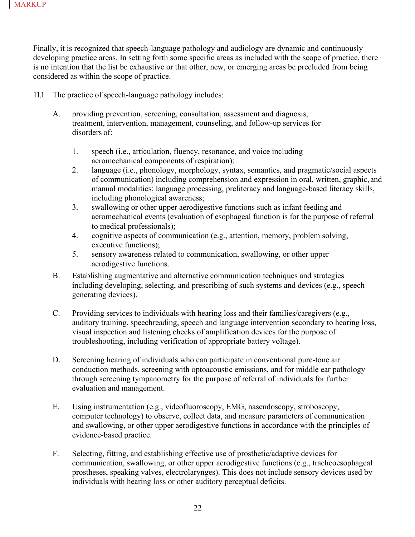Finally, it is recognized that speech-language pathology and audiology are dynamic and continuously developing practice areas. In setting forth some specific areas as included with the scope of practice, there is no intention that the list be exhaustive or that other, new, or emerging areas be precluded from being considered as within the scope of practice.

- 11.1 The practice of speech-language pathology includes:
	- A. providing prevention, screening, consultation, assessment and diagnosis, treatment, intervention, management, counseling, and follow-up services for disorders of:
		- 1. speech (i.e., articulation, fluency, resonance, and voice including aeromechanical components of respiration);
		- 2. language (i.e., phonology, morphology, syntax, semantics, and pragmatic/social aspects of communication) including comprehension and expression in oral, written, graphic, and manual modalities; language processing, preliteracy and language-based literacy skills, including phonological awareness;
		- 3. swallowing or other upper aerodigestive functions such as infant feeding and aeromechanical events (evaluation of esophageal function is for the purpose of referral to medical professionals);
		- 4. cognitive aspects of communication (e.g., attention, memory, problem solving, executive functions);
		- 5. sensory awareness related to communication, swallowing, or other upper aerodigestive functions.
	- B. Establishing augmentative and alternative communication techniques and strategies including developing, selecting, and prescribing of such systems and devices (e.g., speech generating devices).
	- C. Providing services to individuals with hearing loss and their families/caregivers (e.g., auditory training, speechreading, speech and language intervention secondary to hearing loss, visual inspection and listening checks of amplification devices for the purpose of troubleshooting, including verification of appropriate battery voltage).
	- D. Screening hearing of individuals who can participate in conventional pure-tone air conduction methods, screening with optoacoustic emissions, and for middle ear pathology through screening tympanometry for the purpose of referral of individuals for further evaluation and management.
	- E. Using instrumentation (e.g., videofluoroscopy, EMG, nasendoscopy, stroboscopy, computer technology) to observe, collect data, and measure parameters of communication and swallowing, or other upper aerodigestive functions in accordance with the principles of evidence-based practice.
	- F. Selecting, fitting, and establishing effective use of prosthetic/adaptive devices for communication, swallowing, or other upper aerodigestive functions (e.g., tracheoesophageal prostheses, speaking valves, electrolarynges). This does not include sensory devices used by individuals with hearing loss or other auditory perceptual deficits.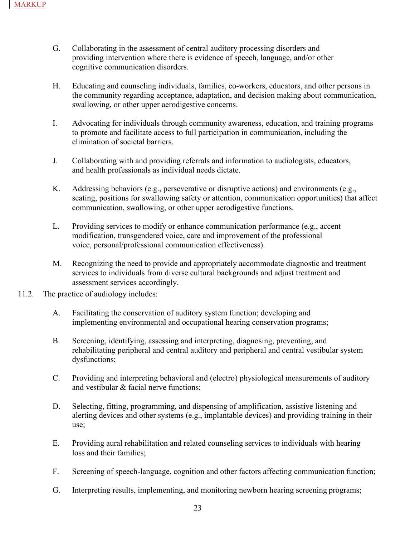- G. Collaborating in the assessment of central auditory processing disorders and providing intervention where there is evidence of speech, language, and/or other cognitive communication disorders.
- H. Educating and counseling individuals, families, co-workers, educators, and other persons in the community regarding acceptance, adaptation, and decision making about communication, swallowing, or other upper aerodigestive concerns.
- I. Advocating for individuals through community awareness, education, and training programs to promote and facilitate access to full participation in communication, including the elimination of societal barriers.
- J. Collaborating with and providing referrals and information to audiologists, educators, and health professionals as individual needs dictate.
- K. Addressing behaviors (e.g., perseverative or disruptive actions) and environments (e.g., seating, positions for swallowing safety or attention, communication opportunities) that affect communication, swallowing, or other upper aerodigestive functions.
- L. Providing services to modify or enhance communication performance (e.g., accent modification, transgendered voice, care and improvement of the professional voice, personal/professional communication effectiveness).
- M. Recognizing the need to provide and appropriately accommodate diagnostic and treatment services to individuals from diverse cultural backgrounds and adjust treatment and assessment services accordingly.
- 11.2. The practice of audiology includes:
	- A. Facilitating the conservation of auditory system function; developing and implementing environmental and occupational hearing conservation programs;
	- B. Screening, identifying, assessing and interpreting, diagnosing, preventing, and rehabilitating peripheral and central auditory and peripheral and central vestibular system dysfunctions;
	- C. Providing and interpreting behavioral and (electro) physiological measurements of auditory and vestibular & facial nerve functions;
	- D. Selecting, fitting, programming, and dispensing of amplification, assistive listening and alerting devices and other systems (e.g., implantable devices) and providing training in their use;
	- E. Providing aural rehabilitation and related counseling services to individuals with hearing loss and their families;
	- F. Screening of speech-language, cognition and other factors affecting communication function;
	- G. Interpreting results, implementing, and monitoring newborn hearing screening programs;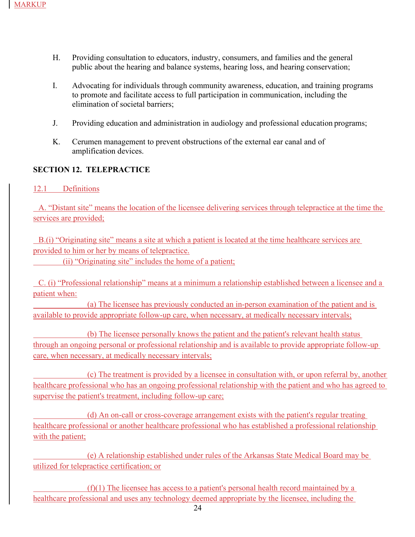- H. Providing consultation to educators, industry, consumers, and families and the general public about the hearing and balance systems, hearing loss, and hearing conservation;
- I. Advocating for individuals through community awareness, education, and training programs to promote and facilitate access to full participation in communication, including the elimination of societal barriers;
- J. Providing education and administration in audiology and professional education programs;
- K. Cerumen management to prevent obstructions of the external ear canal and of amplification devices.

## **SECTION 12. TELEPRACTICE**

## 12.1 Definitions

A. "Distant site" means the location of the licensee delivering services through telepractice at the time the services are provided;

B.(i) "Originating site" means a site at which a patient is located at the time healthcare services are provided to him or her by means of telepractice.

(ii) "Originating site" includes the home of a patient;

C. (i) "Professional relationship" means at a minimum a relationship established between a licensee and a patient when:

(a) The licensee has previously conducted an in-person examination of the patient and is available to provide appropriate follow-up care, when necessary, at medically necessary intervals;

(b) The licensee personally knows the patient and the patient's relevant health status through an ongoing personal or professional relationship and is available to provide appropriate follow-up care, when necessary, at medically necessary intervals;

(c) The treatment is provided by a licensee in consultation with, or upon referral by, another healthcare professional who has an ongoing professional relationship with the patient and who has agreed to supervise the patient's treatment, including follow-up care;

(d) An on-call or cross-coverage arrangement exists with the patient's regular treating healthcare professional or another healthcare professional who has established a professional relationship with the patient;

(e) A relationship established under rules of the Arkansas State Medical Board may be utilized for telepractice certification; or

(f)(1) The licensee has access to a patient's personal health record maintained by a healthcare professional and uses any technology deemed appropriate by the licensee, including the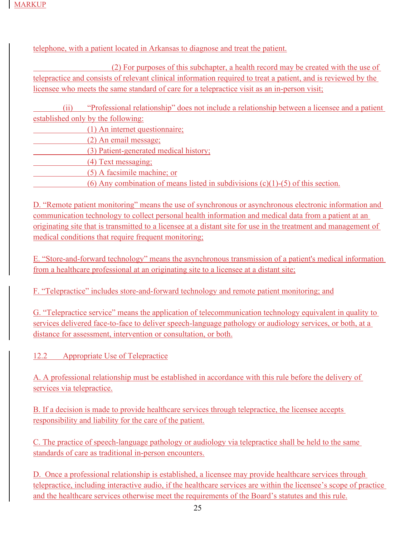telephone, with a patient located in Arkansas to diagnose and treat the patient.

(2) For purposes of this subchapter, a health record may be created with the use of telepractice and consists of relevant clinical information required to treat a patient, and is reviewed by the licensee who meets the same standard of care for a telepractice visit as an in-person visit;

(ii) "Professional relationship" does not include a relationship between a licensee and a patient established only by the following:

(1) An internet questionnaire; (2) An email message; (3) Patient-generated medical history; (4) Text messaging; (5) A facsimile machine; or (6) Any combination of means listed in subdivisions  $(c)(1)-(5)$  of this section.

D. "Remote patient monitoring" means the use of synchronous or asynchronous electronic information and communication technology to collect personal health information and medical data from a patient at an originating site that is transmitted to a licensee at a distant site for use in the treatment and management of medical conditions that require frequent monitoring;

E. "Store-and-forward technology" means the asynchronous transmission of a patient's medical information from a healthcare professional at an originating site to a licensee at a distant site;

F. "Telepractice" includes store-and-forward technology and remote patient monitoring; and

G. "Telepractice service" means the application of telecommunication technology equivalent in quality to services delivered face-to-face to deliver speech-language pathology or audiology services, or both, at a distance for assessment, intervention or consultation, or both.

12.2 Appropriate Use of Telepractice

A. A professional relationship must be established in accordance with this rule before the delivery of services via telepractice.

B. If a decision is made to provide healthcare services through telepractice, the licensee accepts responsibility and liability for the care of the patient.

C. The practice of speech-language pathology or audiology via telepractice shall be held to the same standards of care as traditional in-person encounters.

D. Once a professional relationship is established, a licensee may provide healthcare services through telepractice, including interactive audio, if the healthcare services are within the licensee's scope of practice and the healthcare services otherwise meet the requirements of the Board's statutes and this rule.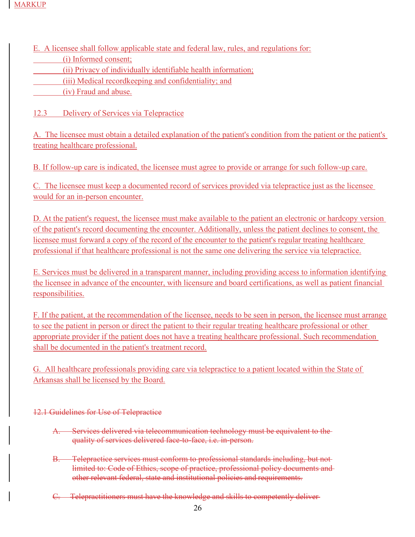E. A licensee shall follow applicable state and federal law, rules, and regulations for: (i) Informed consent; (ii) Privacy of individually identifiable health information; (iii) Medical recordkeeping and confidentiality; and (iv) Fraud and abuse.

12.3 Delivery of Services via Telepractice

A. The licensee must obtain a detailed explanation of the patient's condition from the patient or the patient's treating healthcare professional.

B. If follow-up care is indicated, the licensee must agree to provide or arrange for such follow-up care.

C. The licensee must keep a documented record of services provided via telepractice just as the licensee would for an in-person encounter.

D. At the patient's request, the licensee must make available to the patient an electronic or hardcopy version of the patient's record documenting the encounter. Additionally, unless the patient declines to consent, the licensee must forward a copy of the record of the encounter to the patient's regular treating healthcare professional if that healthcare professional is not the same one delivering the service via telepractice.

E. Services must be delivered in a transparent manner, including providing access to information identifying the licensee in advance of the encounter, with licensure and board certifications, as well as patient financial responsibilities.

F. If the patient, at the recommendation of the licensee, needs to be seen in person, the licensee must arrange to see the patient in person or direct the patient to their regular treating healthcare professional or other appropriate provider if the patient does not have a treating healthcare professional. Such recommendation shall be documented in the patient's treatment record.

G. All healthcare professionals providing care via telepractice to a patient located within the State of Arkansas shall be licensed by the Board.

12.1 Guidelines for Use of Telepractice

- A. Services delivered via telecommunication technology must be equivalent to the quality of services delivered face-to-face, i.e. in-person.
- B. Telepractice services must conform to professional standards including, but not limited to: Code of Ethics, scope of practice, professional policy documents and other relevant federal, state and institutional policies and requirements.
- C. Telepractitioners must have the knowledge and skills to competently deliver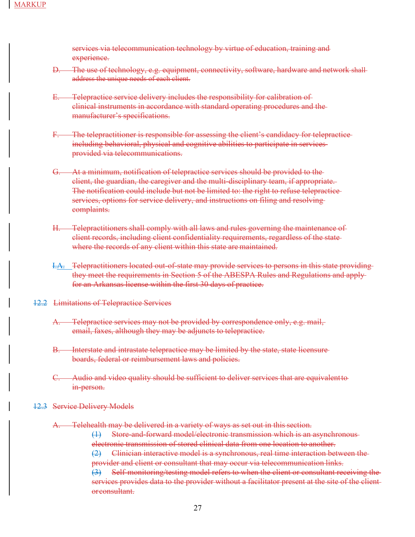services via telecommunication technology by virtue of education, training and experience.

- D. The use of technology, e.g. equipment, connectivity, software, hardware and network shall address the unique needs of each client.
- E. Telepractice service delivery includes the responsibility for calibration of clinical instruments in accordance with standard operating procedures and the manufacturer's specifications.
- The telepractitioner is responsible for assessing the client's candidacy for telepractice including behavioral, physical and cognitive abilities to participate in services provided via telecommunications.
- G. At a minimum, notification of telepractice services should be provided to the client, the guardian, the caregiver and the multi-disciplinary team, if appropriate. The notification could include but not be limited to: the right to refuse telepractice services, options for service delivery, and instructions on filing and resolving complaints.
- H. Telepractitioners shall comply with all laws and rules governing the maintenance of client records, including client confidentiality requirements, regardless of the state where the records of any client within this state are maintained.
- I.A. Telepractitioners located out-of-state may provide services to persons in this state providing they meet the requirements in Section 5 of the ABESPA Rules and Regulations and apply for an Arkansas license within the first 30 days of practice.
- 12.2 Limitations of Telepractice Services
	- Telepractice services may not be provided by correspondence only, e.g. mail, email, faxes, although they may be adjuncts to telepractice.
	- B. Interstate and intrastate telepractice may be limited by the state, state licensure boards, federal or reimbursement laws and policies.
	- Audio and video quality should be sufficient to deliver services that are equivalent to in-person.

#### 12.3 Service Delivery Models

- A. Telehealth may be delivered in a variety of ways as set out in this section.
	- (1) Store-and-forward model/electronic transmission which is an asynchronous electronic transmission of stored clinical data from one location to another.
	- (2) Clinician interactive model is a synchronous, real time interaction between the provider and client or consultant that may occur via telecommunication links.
	- (3) Self-monitoring/testing model refers to when the client or consultant receiving the services provides data to the provider without a facilitator present at the site of the clientorconsultant.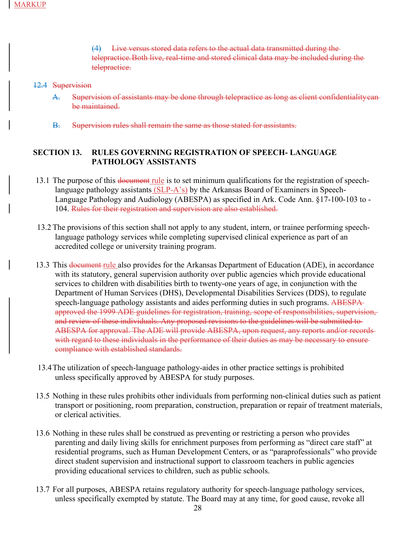(4) Live versus stored data refers to the actual data transmitted during the telepractice.Both live, real-time and stored clinical data may be included during the telepractice.

#### 12.4 Supervision

- A. Supervision of assistants may be done through telepractice as long as client confidentialitycan be maintained.
- B. Supervision rules shall remain the same as those stated for assistants.

#### **SECTION 13. RULES GOVERNING REGISTRATION OF SPEECH- LANGUAGE PATHOLOGY ASSISTANTS**

- 13.1 The purpose of this document rule is to set minimum qualifications for the registration of speechlanguage pathology assistants (SLP-A's) by the Arkansas Board of Examiners in Speech-Language Pathology and Audiology (ABESPA) as specified in Ark. Code Ann. §17-100-103 to - 104. Rules for their registration and supervision are also established.
- 13.2 The provisions of this section shall not apply to any student, intern, or trainee performing speechlanguage pathology services while completing supervised clinical experience as part of an accredited college or university training program.
- 13.3 This document rule also provides for the Arkansas Department of Education (ADE), in accordance with its statutory, general supervision authority over public agencies which provide educational services to children with disabilities birth to twenty-one years of age, in conjunction with the Department of Human Services (DHS), Developmental Disabilities Services (DDS), to regulate speech-language pathology assistants and aides performing duties in such programs. ABESPAapproved the 1999 ADE guidelines for registration, training, scope of responsibilities, supervision, and review of these individuals. Any proposed revisions to the guidelines will be submitted to ABESPA for approval. The ADE will provide ABESPA, upon request, any reports and/or records with regard to these individuals in the performance of their duties as may be necessary to ensure compliance with established standards.
- 13.4The utilization of speech-language pathology-aides in other practice settings is prohibited unless specifically approved by ABESPA for study purposes.
- 13.5 Nothing in these rules prohibits other individuals from performing non-clinical duties such as patient transport or positioning, room preparation, construction, preparation or repair of treatment materials, or clerical activities.
- 13.6 Nothing in these rules shall be construed as preventing or restricting a person who provides parenting and daily living skills for enrichment purposes from performing as "direct care staff" at residential programs, such as Human Development Centers, or as "paraprofessionals" who provide direct student supervision and instructional support to classroom teachers in public agencies providing educational services to children, such as public schools.
- 13.7 For all purposes, ABESPA retains regulatory authority for speech-language pathology services, unless specifically exempted by statute. The Board may at any time, for good cause, revoke all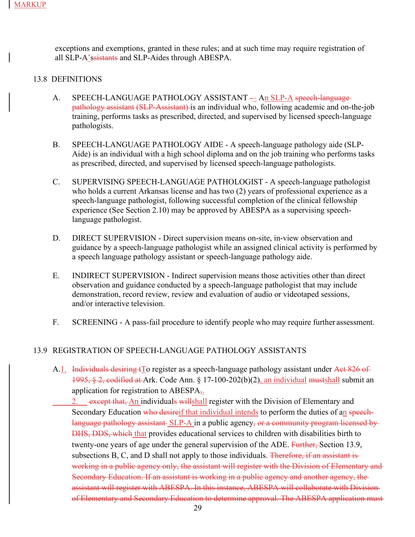exceptions and exemptions, granted in these rules; and at such time may require registration of all SLP-A'ssistants and SLP-Aides through ABESPA.

#### 13.8 DEFINITIONS

- A. SPEECH-LANGUAGE PATHOLOGY ASSISTANT An SLP-A speech-language pathology assistant (SLP-Assistant) is an individual who, following academic and on-the-job training, performs tasks as prescribed, directed, and supervised by licensed speech-language pathologists.
- B. SPEECH-LANGUAGE PATHOLOGY AIDE A speech-language pathology aide (SLP-Aide) is an individual with a high school diploma and on the job training who performs tasks as prescribed, directed, and supervised by licensed speech-language pathologists.
- C. SUPERVISING SPEECH-LANGUAGE PATHOLOGIST A speech-language pathologist who holds a current Arkansas license and has two (2) years of professional experience as a speech-language pathologist, following successful completion of the clinical fellowship experience (See Section 2.10) may be approved by ABESPA as a supervising speechlanguage pathologist.
- D. DIRECT SUPERVISION Direct supervision means on-site, in-view observation and guidance by a speech-language pathologist while an assigned clinical activity is performed by a speech language pathology assistant or speech-language pathology aide.
- E. INDIRECT SUPERVISION Indirect supervision means those activities other than direct observation and guidance conducted by a speech-language pathologist that may include demonstration, record review, review and evaluation of audio or videotaped sessions, and/or interactive television.
- F. SCREENING A pass-fail procedure to identify people who may require further assessment.

#### 13.9 REGISTRATION OF SPEECH-LANGUAGE PATHOLOGY ASSISTANTS

- A.1. Individuals desiring tTo register as a speech-language pathology assistant under Act 826 of 1995, § 2, codified at Ark. Code Ann. § 17-100-202(b)(2), an individual mustshall submit an application for registration to ABESPA,.
	- 2. except that, An individuals willshall register with the Division of Elementary and Secondary Education who desire if that individual intends to perform the duties of an speechlanguage pathology assistant SLP-A in a public agency, or a community program licensed by DHS, DDS, which that provides educational services to children with disabilities birth to twenty-one years of age under the general supervision of the ADE. Further, Section 13.9, subsections B, C, and D shall not apply to those individuals. Therefore, if an assistant is working in a public agency only, the assistant will register with the Division of Elementary and Secondary Education. If an assistant is working in a public agency and another agency, the assistant will register with ABESPA. In this instance, ABESPA will collaborate with Division of Elementary and Secondary Education to determine approval. The ABESPA application must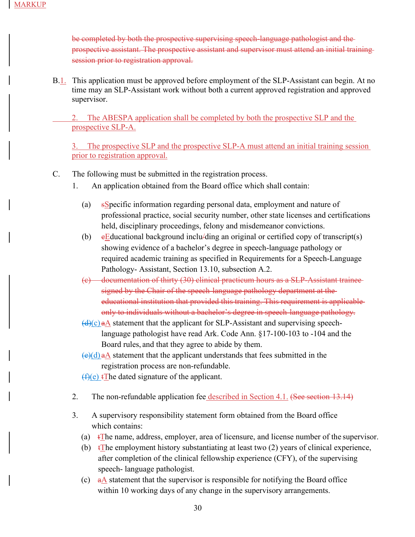be completed by both the prospective supervising speech-language pathologist and the prospective assistant. The prospective assistant and supervisor must attend an initial training session prior to registration approval.

B.1. This application must be approved before employment of the SLP-Assistant can begin. At no time may an SLP-Assistant work without both a current approved registration and approved supervisor.

2. The ABESPA application shall be completed by both the prospective SLP and the prospective SLP-A.

3. The prospective SLP and the prospective SLP-A must attend an initial training session prior to registration approval.

- C. The following must be submitted in the registration process.
	- 1. An application obtained from the Board office which shall contain:
		- (a) sSpecific information regarding personal data, employment and nature of professional practice, social security number, other state licenses and certifications held, disciplinary proceedings, felony and misdemeanor convictions.
		- (b)  $e_{\text{E}}$ ducational background inclu-ding an original or certified copy of transcript(s) showing evidence of a bachelor's degree in speech-language pathology or required academic training as specified in Requirements for a Speech-Language Pathology- Assistant, Section 13.10, subsection A.2.
		- (c) documentation of thirty (30) clinical practicum hours as a SLP-Assistant trainee signed by the Chair of the speech-language pathology department at the educational institution that provided this training. This requirement is applicable only to individuals without a bachelor's degree in speech-language pathology.
		- $(d)(c)$  aA statement that the applicant for SLP-Assistant and supervising speechlanguage pathologist have read Ark. Code Ann. §17-100-103 to -104 and the Board rules, and that they agree to abide by them.
		- $(e)(d)$  aA statement that the applicant understands that fees submitted in the registration process are non-refundable.
		- $(f)(e)$  tThe dated signature of the applicant.
	- 2. The non-refundable application fee described in Section 4.1. (See section 13.14)
	- 3. A supervisory responsibility statement form obtained from the Board office which contains:
		- (a)  $\overline{\text{t}}$ he name, address, employer, area of licensure, and license number of the supervisor.
		- (b)  $\pm$ The employment history substantiating at least two (2) years of clinical experience, after completion of the clinical fellowship experience (CFY), of the supervising speech- language pathologist.
		- (c)  $\theta$  a statement that the supervisor is responsible for notifying the Board office within 10 working days of any change in the supervisory arrangements.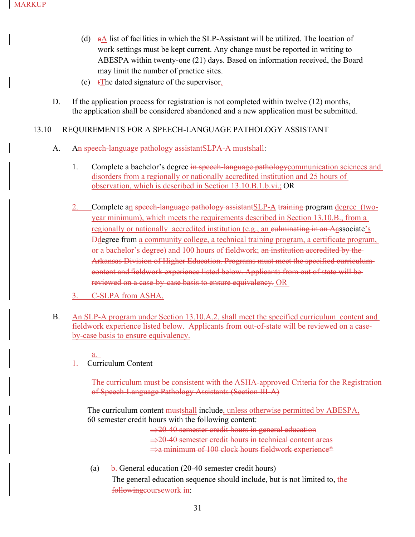- (d) aA list of facilities in which the SLP-Assistant will be utilized. The location of work settings must be kept current. Any change must be reported in writing to ABESPA within twenty-one (21) days. Based on information received, the Board may limit the number of practice sites.
- (e)  $\mathbf{t}$ The dated signature of the supervisor.
- D. If the application process for registration is not completed within twelve (12) months, the application shall be considered abandoned and a new application must be submitted.

#### 13.10 REQUIREMENTS FOR A SPEECH-LANGUAGE PATHOLOGY ASSISTANT

- A. An speech-language pathology assistant SLPA-A must shall:
	- 1. Complete a bachelor's degree in speech-language pathology communication sciences and disorders from a regionally or nationally accredited institution and 25 hours of observation, which is described in Section 13.10.B.1.b.vi.; OR
	- 2. Complete an speech-language pathology assistantSLP-A training program degree (twoyear minimum), which meets the requirements described in Section 13.10.B., from a regionally or nationally accredited institution (e.g., an eulminating in an Aassociate's Ddegree from a community college, a technical training program, a certificate program, or a bachelor's degree) and 100 hours of fieldwork; an institution accredited by the Arkansas Division of Higher Education. Programs must meet the specified curriculum content and fieldwork experience listed below. Applicants from out of state will be reviewed on a case-by-case basis to ensure equivalency. OR
	- 3. C-SLPA from ASHA.
- B. An SLP-A program under Section 13.10.A.2. shall meet the specified curriculum content and fieldwork experience listed below. Applicants from out-of-state will be reviewed on a caseby-case basis to ensure equivalency.

## 1. Curriculum Content

 $a.$ 

The curriculum must be consistent with the ASHA-approved Criteria for the Registration of Speech-Language Pathology Assistants (Section III-A)

The curriculum content mustshall include, unless otherwise permitted by ABESPA, 60 semester credit hours with the following content:

> ⇒20-40 semester credit hours in general education ⇒20-40 semester credit hours in technical content areas  $\Rightarrow$ a minimum of 100 clock hours fieldwork experience\*

(a)  $\frac{1}{2}$ . General education (20-40 semester credit hours) The general education sequence should include, but is not limited to, the followingcoursework in: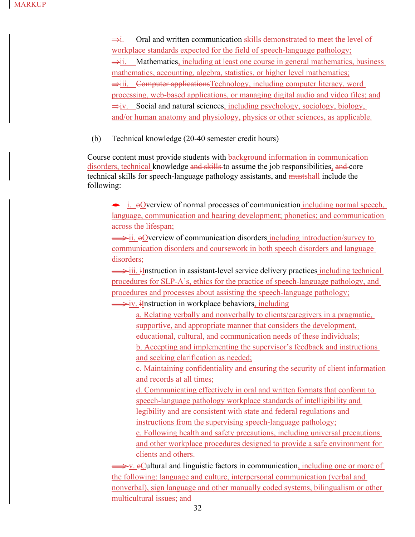$\Rightarrow$ i. Oral and written communication skills demonstrated to meet the level of workplace standards expected for the field of speech-language pathology; ⇒ii. Mathematics, including at least one course in general mathematics, business mathematics, accounting, algebra, statistics, or higher level mathematics; ⇒iii. Computer applicationsTechnology, including computer literacy, word processing, web-based applications, or managing digital audio and video files; and  $\Rightarrow$ iv. Social and natural sciences, including psychology, sociology, biology, and/or human anatomy and physiology, physics or other sciences, as applicable.

(b) Technical knowledge (20-40 semester credit hours)

Course content must provide students with background information in communication disorders, technical knowledge and skills to assume the job responsibilities, and core technical skills for speech-language pathology assistants, and mustshall include the following:

 $\bullet$  i.  $\bullet$  Overview of normal processes of communication including normal speech, language, communication and hearing development; phonetics; and communication across the lifespan;

 $\implies$ ii.  $\Theta$ Overview of communication disorders including introduction/survey to communication disorders and coursework in both speech disorders and language disorders;

 $\implies$ iii. iInstruction in assistant-level service delivery practices including technical procedures for SLP-A's, ethics for the practice of speech-language pathology, and procedures and processes about assisting the speech-language pathology;

⇒iv. iInstruction in workplace behaviors, including

a. Relating verbally and nonverbally to clients/caregivers in a pragmatic, supportive, and appropriate manner that considers the development, educational, cultural, and communication needs of these individuals;

b. Accepting and implementing the supervisor's feedback and instructions and seeking clarification as needed;

c. Maintaining confidentiality and ensuring the security of client information and records at all times;

d. Communicating effectively in oral and written formats that conform to speech-language pathology workplace standards of intelligibility and legibility and are consistent with state and federal regulations and instructions from the supervising speech-language pathology;

e. Following health and safety precautions, including universal precautions and other workplace procedures designed to provide a safe environment for clients and others.

⇒v. eCultural and linguistic factors in communication, including one or more of the following: language and culture, interpersonal communication (verbal and nonverbal), sign language and other manually coded systems, bilingualism or other multicultural issues; and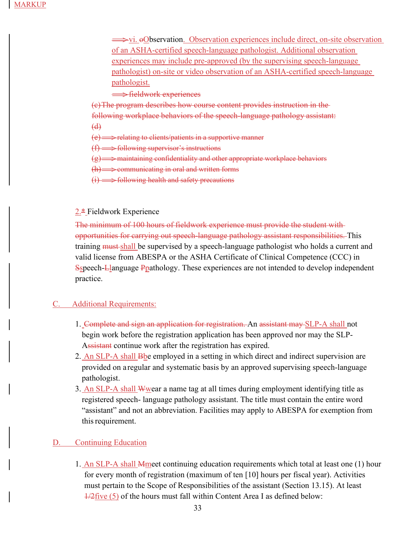$\implies$ vi.  $\theta$ Observation. Observation experiences include direct, on-site observation of an ASHA-certified speech-language pathologist. Additional observation experiences may include pre-approved (by the supervising speech-language pathologist) on-site or video observation of an ASHA-certified speech-language pathologist.

⇒fieldwork experiences

(c)The program describes how course content provides instruction in the

following workplace behaviors of the speech-language pathology assistant:

 $\Theta$ 

(e)⇒relating to clients/patients in a supportive manner

(f)⇒following supervisor's instructions

 $\left( \frac{g}{g} \right)$  = maintaining confidentiality and other appropriate workplace behaviors

(h)⇒communicating in oral and written forms

 $(i) \implies$  following health and safety precautions

#### 2.\* Fieldwork Experience

The minimum of 100 hours of fieldwork experience must provide the student with opportunities for carrying out speech-language pathology assistant responsibilities. This training must shall be supervised by a speech-language pathologist who holds a current and valid license from ABESPA or the ASHA Certificate of Clinical Competence (CCC) in Sspeech-Llanguage Ppathology. These experiences are not intended to develop independent practice.

#### C. Additional Requirements:

- 1. Complete and sign an application for registration. An assistant may SLP-A shall not begin work before the registration application has been approved nor may the SLP-Assistant continue work after the registration has expired.
- 2. An SLP-A shall Bbe employed in a setting in which direct and indirect supervision are provided on aregular and systematic basis by an approved supervising speech-language pathologist.
- 3. An SLP-A shall Wwear a name tag at all times during employment identifying title as registered speech- language pathology assistant. The title must contain the entire word "assistant" and not an abbreviation. Facilities may apply to ABESPA for exemption from this requirement.

#### D. Continuing Education

1. An SLP-A shall Mmeet continuing education requirements which total at least one (1) hour for every month of registration (maximum of ten [10] hours per fiscal year). Activities must pertain to the Scope of Responsibilities of the assistant (Section 13.15). At least  $\frac{1}{2}$ five (5) of the hours must fall within Content Area I as defined below: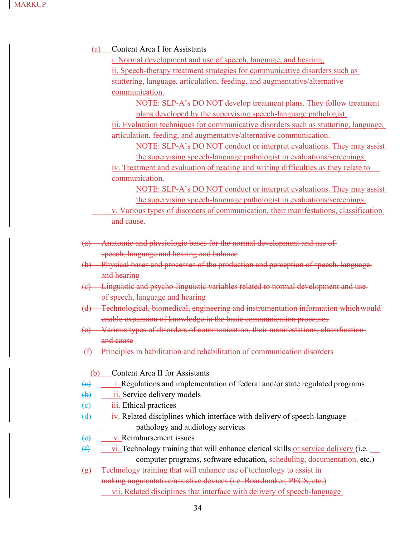(a) Content Area I for Assistants

i. Normal development and use of speech, language, and hearing; ii. Speech-therapy treatment strategies for communicative disorders such as stuttering, language, articulation, feeding, and augmentative/alternative communication.

NOTE: SLP-A's DO NOT develop treatment plans. They follow treatment plans developed by the supervising speech-language pathologist.

iii. Evaluation techniques for communicative disorders such as stuttering, language, articulation, feeding, and augmentative/alternative communication.

NOTE: SLP-A's DO NOT conduct or interpret evaluations. They may assist

the supervising speech-language pathologist in evaluations/screenings.

iv. Treatment and evaluation of reading and writing difficulties as they relate to communication.

NOTE: SLP-A's DO NOT conduct or interpret evaluations. They may assist the supervising speech-language pathologist in evaluations/screenings.

- v. Various types of disorders of communication, their manifestations, classification and cause.
- (a) Anatomic and physiologic bases for the normal development and use of speech, language and hearing and balance
- (b) Physical bases and processes of the production and perception of speech, language and hearing
- (c) Linguistic and psycho-linguistic variables related to normal development and use of speech, language and hearing
- (d) Technological, biomedical, engineering and instrumentation information whichwould enable expansion of knowledge in the basic communication processes
- (e) Various types of disorders of communication, their manifestations, classification and cause

(f) Principles in habilitation and rehabilitation of communication disorders

(b) Content Area II for Assistants

- $\frac{a}{a}$  i. Regulations and implementation of federal and/or state regulated programs
- $\overline{a}$  ii. Service delivery models
- $(e)$  iii. Ethical practices
- $\frac{d}{dt}$  iv. Related disciplines which interface with delivery of speech-language pathology and audiology services
- (e) v. Reimbursement issues
- (f) vi. Technology training that will enhance clerical skills or service delivery (i.e. computer programs, software education, scheduling, documentation, etc.)
- $(g)$  Technology training that will enhance use of technology to assist inmaking augmentative/assistive devices (i.e. Boardmaker, PECS, etc.) vii. Related disciplines that interface with delivery of speech-language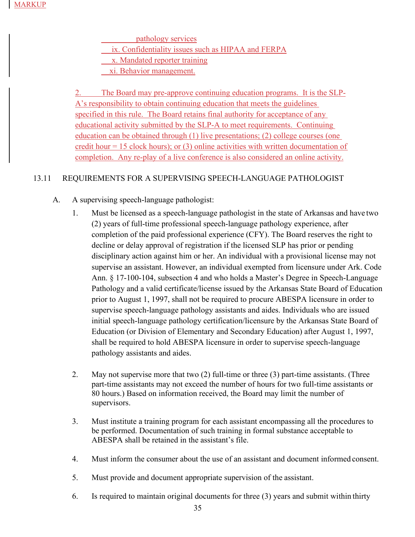pathology services

ix. Confidentiality issues such as HIPAA and FERPA

x. Mandated reporter training

xi. Behavior management.

2. The Board may pre-approve continuing education programs. It is the SLP-A's responsibility to obtain continuing education that meets the guidelines specified in this rule. The Board retains final authority for acceptance of any educational activity submitted by the SLP-A to meet requirements. Continuing education can be obtained through (1) live presentations; (2) college courses (one credit hour  $= 15$  clock hours); or (3) online activities with written documentation of completion. Any re-play of a live conference is also considered an online activity.

## 13.11 REQUIREMENTS FOR A SUPERVISING SPEECH-LANGUAGE PATHOLOGIST

- A. A supervising speech-language pathologist:
	- 1. Must be licensed as a speech-language pathologist in the state of Arkansas and have two (2) years of full-time professional speech-language pathology experience, after completion of the paid professional experience (CFY). The Board reserves the right to decline or delay approval of registration if the licensed SLP has prior or pending disciplinary action against him or her. An individual with a provisional license may not supervise an assistant. However, an individual exempted from licensure under Ark. Code Ann. § 17-100-104, subsection 4 and who holds a Master's Degree in Speech-Language Pathology and a valid certificate/license issued by the Arkansas State Board of Education prior to August 1, 1997, shall not be required to procure ABESPA licensure in order to supervise speech-language pathology assistants and aides. Individuals who are issued initial speech-language pathology certification/licensure by the Arkansas State Board of Education (or Division of Elementary and Secondary Education) after August 1, 1997, shall be required to hold ABESPA licensure in order to supervise speech-language pathology assistants and aides.
	- 2. May not supervise more that two (2) full-time or three (3) part-time assistants. (Three part-time assistants may not exceed the number of hours for two full-time assistants or 80 hours.) Based on information received, the Board may limit the number of supervisors.
	- 3. Must institute a training program for each assistant encompassing all the procedures to be performed. Documentation of such training in formal substance acceptable to ABESPA shall be retained in the assistant's file.
	- 4. Must inform the consumer about the use of an assistant and document informed consent.
	- 5. Must provide and document appropriate supervision of the assistant.
	- 6. Is required to maintain original documents for three (3) years and submit within thirty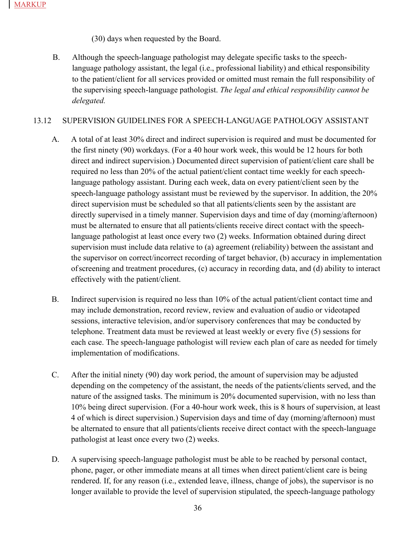(30) days when requested by the Board.

B. Although the speech-language pathologist may delegate specific tasks to the speechlanguage pathology assistant, the legal (i.e., professional liability) and ethical responsibility to the patient/client for all services provided or omitted must remain the full responsibility of the supervising speech-language pathologist. *The legal and ethical responsibility cannot be delegated.*

#### 13.12 SUPERVISION GUIDELINES FOR A SPEECH-LANGUAGE PATHOLOGY ASSISTANT

- A. A total of at least 30% direct and indirect supervision is required and must be documented for the first ninety (90) workdays. (For a 40 hour work week, this would be 12 hours for both direct and indirect supervision.) Documented direct supervision of patient/client care shall be required no less than 20% of the actual patient/client contact time weekly for each speechlanguage pathology assistant. During each week, data on every patient/client seen by the speech-language pathology assistant must be reviewed by the supervisor. In addition, the 20% direct supervision must be scheduled so that all patients/clients seen by the assistant are directly supervised in a timely manner. Supervision days and time of day (morning/afternoon) must be alternated to ensure that all patients/clients receive direct contact with the speechlanguage pathologist at least once every two (2) weeks. Information obtained during direct supervision must include data relative to (a) agreement (reliability) between the assistant and the supervisor on correct/incorrect recording of target behavior, (b) accuracy in implementation ofscreening and treatment procedures, (c) accuracy in recording data, and (d) ability to interact effectively with the patient/client.
- B. Indirect supervision is required no less than 10% of the actual patient/client contact time and may include demonstration, record review, review and evaluation of audio or videotaped sessions, interactive television, and/or supervisory conferences that may be conducted by telephone. Treatment data must be reviewed at least weekly or every five (5) sessions for each case. The speech-language pathologist will review each plan of care as needed for timely implementation of modifications.
- C. After the initial ninety (90) day work period, the amount of supervision may be adjusted depending on the competency of the assistant, the needs of the patients/clients served, and the nature of the assigned tasks. The minimum is 20% documented supervision, with no less than 10% being direct supervision. (For a 40-hour work week, this is 8 hours of supervision, at least 4 of which is direct supervision.) Supervision days and time of day (morning/afternoon) must be alternated to ensure that all patients/clients receive direct contact with the speech-language pathologist at least once every two (2) weeks.
- D. A supervising speech-language pathologist must be able to be reached by personal contact, phone, pager, or other immediate means at all times when direct patient/client care is being rendered. If, for any reason (i.e., extended leave, illness, change of jobs), the supervisor is no longer available to provide the level of supervision stipulated, the speech-language pathology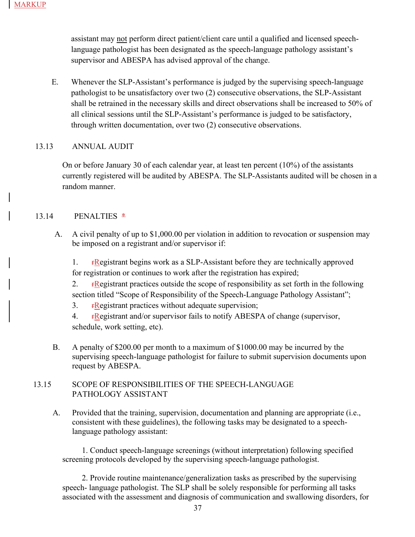assistant may not perform direct patient/client care until a qualified and licensed speechlanguage pathologist has been designated as the speech-language pathology assistant's supervisor and ABESPA has advised approval of the change.

E. Whenever the SLP-Assistant's performance is judged by the supervising speech-language pathologist to be unsatisfactory over two (2) consecutive observations, the SLP-Assistant shall be retrained in the necessary skills and direct observations shall be increased to 50% of all clinical sessions until the SLP-Assistant's performance is judged to be satisfactory, through written documentation, over two (2) consecutive observations.

#### 13.13 ANNUAL AUDIT

On or before January 30 of each calendar year, at least ten percent (10%) of the assistants currently registered will be audited by ABESPA. The SLP-Assistants audited will be chosen in a random manner.

#### 13.14 PENALTIES  $*$

A. A civil penalty of up to \$1,000.00 per violation in addition to revocation or suspension may be imposed on a registrant and/or supervisor if:

1. **Registrant begins work as a SLP-Assistant before they are technically approved** for registration or continues to work after the registration has expired;

2. **Registrant practices outside the scope of responsibility as set forth in the following** section titled "Scope of Responsibility of the Speech-Language Pathology Assistant";

3.  $r_{\text{Registrant}}$  practices without adequate supervision;

4. **Registrant and/or supervisor fails to notify ABESPA of change (supervisor,** schedule, work setting, etc).

B. A penalty of \$200.00 per month to a maximum of \$1000.00 may be incurred by the supervising speech-language pathologist for failure to submit supervision documents upon request by ABESPA.

#### 13.15 SCOPE OF RESPONSIBILITIES OF THE SPEECH-LANGUAGE PATHOLOGY ASSISTANT

A. Provided that the training, supervision, documentation and planning are appropriate (i.e., consistent with these guidelines), the following tasks may be designated to a speechlanguage pathology assistant:

1. Conduct speech-language screenings (without interpretation) following specified screening protocols developed by the supervising speech-language pathologist.

2. Provide routine maintenance/generalization tasks as prescribed by the supervising speech- language pathologist. The SLP shall be solely responsible for performing all tasks associated with the assessment and diagnosis of communication and swallowing disorders, for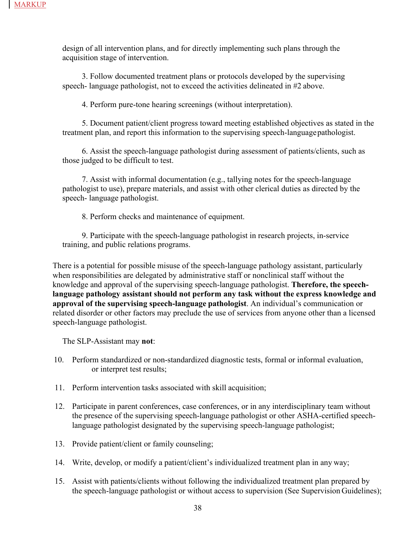design of all intervention plans, and for directly implementing such plans through the acquisition stage of intervention.

3. Follow documented treatment plans or protocols developed by the supervising speech- language pathologist, not to exceed the activities delineated in #2 above.

4. Perform pure-tone hearing screenings (without interpretation).

5. Document patient/client progress toward meeting established objectives as stated in the treatment plan, and report this information to the supervising speech-languagepathologist.

6. Assist the speech-language pathologist during assessment of patients/clients, such as those judged to be difficult to test.

7. Assist with informal documentation (e.g., tallying notes for the speech-language pathologist to use), prepare materials, and assist with other clerical duties as directed by the speech- language pathologist.

8. Perform checks and maintenance of equipment.

9. Participate with the speech-language pathologist in research projects, in-service training, and public relations programs.

There is a potential for possible misuse of the speech-language pathology assistant, particularly when responsibilities are delegated by administrative staff or nonclinical staff without the knowledge and approval of the supervising speech-language pathologist. **Therefore, the speechlanguage pathology assistant should not perform any task without the express knowledge and approval of the supervising speech-language pathologist**. An individual's communication or related disorder or other factors may preclude the use of services from anyone other than a licensed speech-language pathologist.

The SLP-Assistant may **not**:

- 10. Perform standardized or non-standardized diagnostic tests, formal or informal evaluation, or interpret test results;
- 11. Perform intervention tasks associated with skill acquisition;
- 12. Participate in parent conferences, case conferences, or in any interdisciplinary team without the presence of the supervising speech-language pathologist or other ASHA-certified speechlanguage pathologist designated by the supervising speech-language pathologist;
- 13. Provide patient/client or family counseling;
- 14. Write, develop, or modify a patient/client's individualized treatment plan in any way;
- 15. Assist with patients/clients without following the individualized treatment plan prepared by the speech-language pathologist or without access to supervision (See Supervision Guidelines);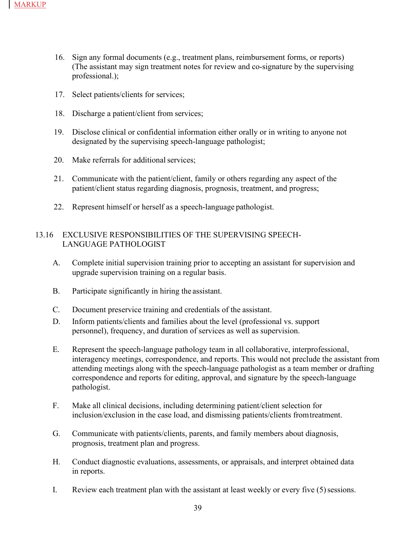- 16. Sign any formal documents (e.g., treatment plans, reimbursement forms, or reports) (The assistant may sign treatment notes for review and co-signature by the supervising professional.);
- 17. Select patients/clients for services;
- 18. Discharge a patient/client from services;
- 19. Disclose clinical or confidential information either orally or in writing to anyone not designated by the supervising speech-language pathologist;
- 20. Make referrals for additional services;
- 21. Communicate with the patient/client, family or others regarding any aspect of the patient/client status regarding diagnosis, prognosis, treatment, and progress;
- 22. Represent himself or herself as a speech-language pathologist.

#### 13.16 EXCLUSIVE RESPONSIBILITIES OF THE SUPERVISING SPEECH-LANGUAGE PATHOLOGIST

- A. Complete initial supervision training prior to accepting an assistant for supervision and upgrade supervision training on a regular basis.
- B. Participate significantly in hiring the assistant.
- C. Document preservice training and credentials of the assistant.
- D. Inform patients/clients and families about the level (professional vs. support personnel), frequency, and duration of services as well as supervision.
- E. Represent the speech-language pathology team in all collaborative, interprofessional, interagency meetings, correspondence, and reports. This would not preclude the assistant from attending meetings along with the speech-language pathologist as a team member or drafting correspondence and reports for editing, approval, and signature by the speech-language pathologist.
- F. Make all clinical decisions, including determining patient/client selection for inclusion/exclusion in the case load, and dismissing patients/clients fromtreatment.
- G. Communicate with patients/clients, parents, and family members about diagnosis, prognosis, treatment plan and progress.
- H. Conduct diagnostic evaluations, assessments, or appraisals, and interpret obtained data in reports.
- I. Review each treatment plan with the assistant at least weekly or every five (5)sessions.